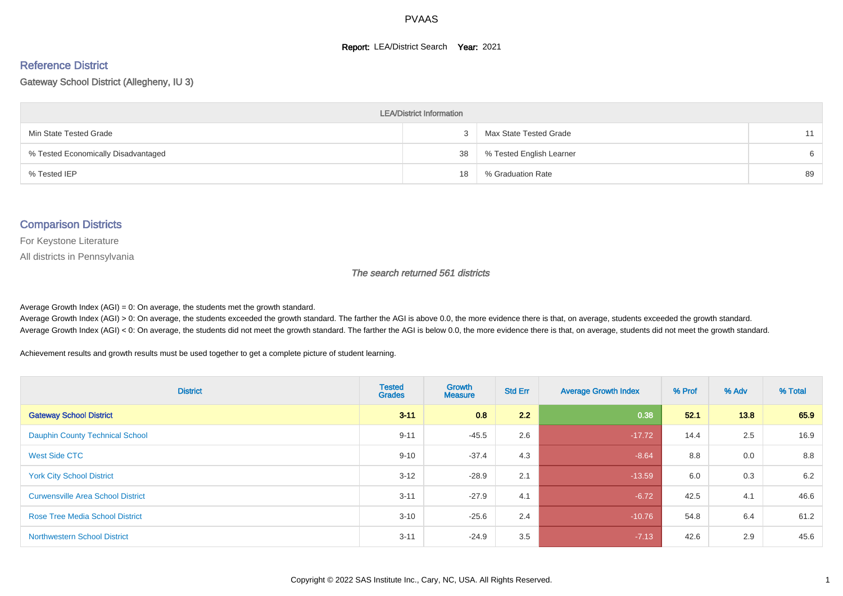#### **Report: LEA/District Search Year: 2021**

#### Reference District

#### Gateway School District (Allegheny, IU 3)

| <b>LEA/District Information</b>     |    |                          |    |  |  |  |  |  |  |
|-------------------------------------|----|--------------------------|----|--|--|--|--|--|--|
| Min State Tested Grade              |    | Max State Tested Grade   |    |  |  |  |  |  |  |
| % Tested Economically Disadvantaged | 38 | % Tested English Learner | 6  |  |  |  |  |  |  |
| % Tested IEP                        | 18 | % Graduation Rate        | 89 |  |  |  |  |  |  |

#### Comparison Districts

For Keystone Literature

All districts in Pennsylvania

The search returned 561 districts

Average Growth Index  $(AGI) = 0$ : On average, the students met the growth standard.

Average Growth Index (AGI) > 0: On average, the students exceeded the growth standard. The farther the AGI is above 0.0, the more evidence there is that, on average, students exceeded the growth standard. Average Growth Index (AGI) < 0: On average, the students did not meet the growth standard. The farther the AGI is below 0.0, the more evidence there is that, on average, students did not meet the growth standard.

Achievement results and growth results must be used together to get a complete picture of student learning.

| <b>District</b>                          | <b>Tested</b><br><b>Grades</b> | Growth<br><b>Measure</b> | <b>Std Err</b> | <b>Average Growth Index</b> | % Prof | % Adv | % Total |
|------------------------------------------|--------------------------------|--------------------------|----------------|-----------------------------|--------|-------|---------|
| <b>Gateway School District</b>           | $3 - 11$                       | 0.8                      | 2.2            | 0.38                        | 52.1   | 13.8  | 65.9    |
| <b>Dauphin County Technical School</b>   | $9 - 11$                       | $-45.5$                  | 2.6            | $-17.72$                    | 14.4   | 2.5   | 16.9    |
| West Side CTC                            | $9 - 10$                       | $-37.4$                  | 4.3            | $-8.64$                     | 8.8    | 0.0   | 8.8     |
| <b>York City School District</b>         | $3 - 12$                       | $-28.9$                  | 2.1            | $-13.59$                    | 6.0    | 0.3   | 6.2     |
| <b>Curwensville Area School District</b> | $3 - 11$                       | $-27.9$                  | 4.1            | $-6.72$                     | 42.5   | 4.1   | 46.6    |
| <b>Rose Tree Media School District</b>   | $3 - 10$                       | $-25.6$                  | 2.4            | $-10.76$                    | 54.8   | 6.4   | 61.2    |
| <b>Northwestern School District</b>      | $3 - 11$                       | $-24.9$                  | 3.5            | $-7.13$                     | 42.6   | 2.9   | 45.6    |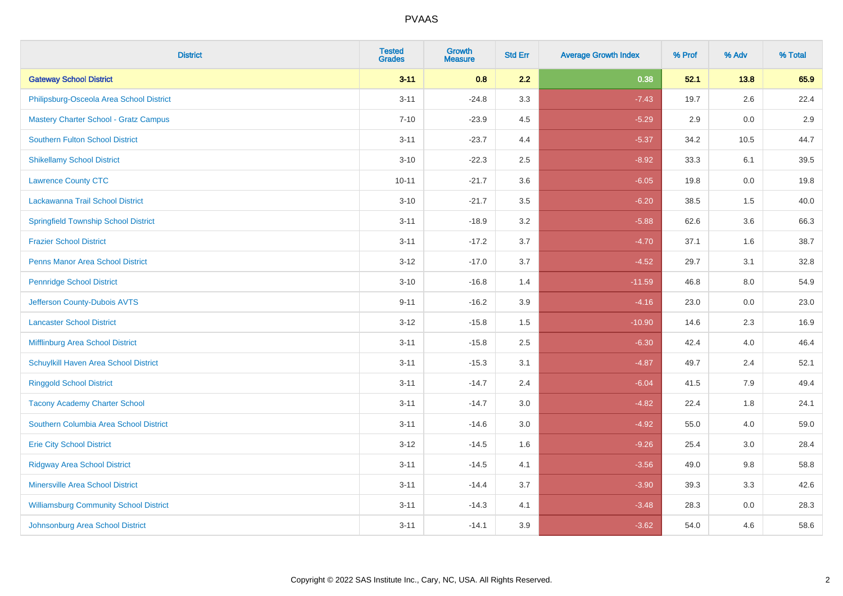| <b>District</b>                               | <b>Tested</b><br><b>Grades</b> | Growth<br><b>Measure</b> | <b>Std Err</b> | <b>Average Growth Index</b> | % Prof | % Adv | % Total |
|-----------------------------------------------|--------------------------------|--------------------------|----------------|-----------------------------|--------|-------|---------|
| <b>Gateway School District</b>                | $3 - 11$                       | 0.8                      | 2.2            | 0.38                        | 52.1   | 13.8  | 65.9    |
| Philipsburg-Osceola Area School District      | $3 - 11$                       | $-24.8$                  | 3.3            | $-7.43$                     | 19.7   | 2.6   | 22.4    |
| <b>Mastery Charter School - Gratz Campus</b>  | $7 - 10$                       | $-23.9$                  | 4.5            | $-5.29$                     | 2.9    | 0.0   | 2.9     |
| <b>Southern Fulton School District</b>        | $3 - 11$                       | $-23.7$                  | 4.4            | $-5.37$                     | 34.2   | 10.5  | 44.7    |
| <b>Shikellamy School District</b>             | $3 - 10$                       | $-22.3$                  | 2.5            | $-8.92$                     | 33.3   | 6.1   | 39.5    |
| <b>Lawrence County CTC</b>                    | $10 - 11$                      | $-21.7$                  | 3.6            | $-6.05$                     | 19.8   | 0.0   | 19.8    |
| Lackawanna Trail School District              | $3 - 10$                       | $-21.7$                  | $3.5\,$        | $-6.20$                     | 38.5   | 1.5   | 40.0    |
| <b>Springfield Township School District</b>   | $3 - 11$                       | $-18.9$                  | 3.2            | $-5.88$                     | 62.6   | 3.6   | 66.3    |
| <b>Frazier School District</b>                | $3 - 11$                       | $-17.2$                  | 3.7            | $-4.70$                     | 37.1   | 1.6   | 38.7    |
| <b>Penns Manor Area School District</b>       | $3 - 12$                       | $-17.0$                  | 3.7            | $-4.52$                     | 29.7   | 3.1   | 32.8    |
| <b>Pennridge School District</b>              | $3 - 10$                       | $-16.8$                  | 1.4            | $-11.59$                    | 46.8   | 8.0   | 54.9    |
| Jefferson County-Dubois AVTS                  | $9 - 11$                       | $-16.2$                  | 3.9            | $-4.16$                     | 23.0   | 0.0   | 23.0    |
| <b>Lancaster School District</b>              | $3 - 12$                       | $-15.8$                  | 1.5            | $-10.90$                    | 14.6   | 2.3   | 16.9    |
| Mifflinburg Area School District              | $3 - 11$                       | $-15.8$                  | 2.5            | $-6.30$                     | 42.4   | 4.0   | 46.4    |
| Schuylkill Haven Area School District         | $3 - 11$                       | $-15.3$                  | 3.1            | $-4.87$                     | 49.7   | 2.4   | 52.1    |
| <b>Ringgold School District</b>               | $3 - 11$                       | $-14.7$                  | 2.4            | $-6.04$                     | 41.5   | 7.9   | 49.4    |
| <b>Tacony Academy Charter School</b>          | $3 - 11$                       | $-14.7$                  | 3.0            | $-4.82$                     | 22.4   | 1.8   | 24.1    |
| Southern Columbia Area School District        | $3 - 11$                       | $-14.6$                  | 3.0            | $-4.92$                     | 55.0   | 4.0   | 59.0    |
| <b>Erie City School District</b>              | $3 - 12$                       | $-14.5$                  | 1.6            | $-9.26$                     | 25.4   | 3.0   | 28.4    |
| <b>Ridgway Area School District</b>           | $3 - 11$                       | $-14.5$                  | 4.1            | $-3.56$                     | 49.0   | 9.8   | 58.8    |
| Minersville Area School District              | $3 - 11$                       | $-14.4$                  | 3.7            | $-3.90$                     | 39.3   | 3.3   | 42.6    |
| <b>Williamsburg Community School District</b> | $3 - 11$                       | $-14.3$                  | 4.1            | $-3.48$                     | 28.3   | 0.0   | 28.3    |
| Johnsonburg Area School District              | $3 - 11$                       | $-14.1$                  | 3.9            | $-3.62$                     | 54.0   | 4.6   | 58.6    |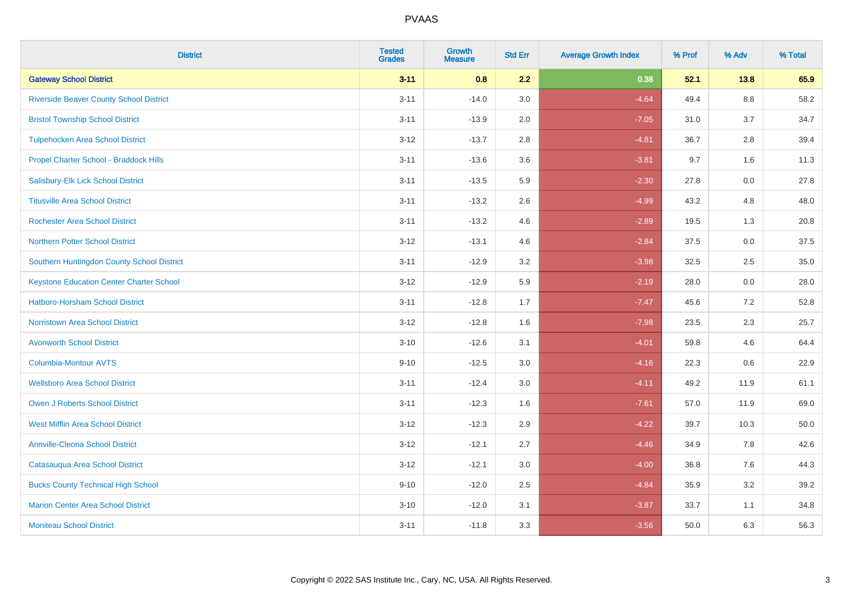| <b>District</b>                                 | <b>Tested</b><br><b>Grades</b> | <b>Growth</b><br><b>Measure</b> | <b>Std Err</b> | <b>Average Growth Index</b> | % Prof | % Adv   | % Total |
|-------------------------------------------------|--------------------------------|---------------------------------|----------------|-----------------------------|--------|---------|---------|
| <b>Gateway School District</b>                  | $3 - 11$                       | 0.8                             | 2.2            | 0.38                        | 52.1   | 13.8    | 65.9    |
| <b>Riverside Beaver County School District</b>  | $3 - 11$                       | $-14.0$                         | 3.0            | $-4.64$                     | 49.4   | $8.8\,$ | 58.2    |
| <b>Bristol Township School District</b>         | $3 - 11$                       | $-13.9$                         | 2.0            | $-7.05$                     | 31.0   | 3.7     | 34.7    |
| <b>Tulpehocken Area School District</b>         | $3 - 12$                       | $-13.7$                         | 2.8            | $-4.81$                     | 36.7   | 2.8     | 39.4    |
| Propel Charter School - Braddock Hills          | $3 - 11$                       | $-13.6$                         | 3.6            | $-3.81$                     | 9.7    | 1.6     | 11.3    |
| Salisbury-Elk Lick School District              | $3 - 11$                       | $-13.5$                         | 5.9            | $-2.30$                     | 27.8   | 0.0     | 27.8    |
| <b>Titusville Area School District</b>          | $3 - 11$                       | $-13.2$                         | 2.6            | $-4.99$                     | 43.2   | 4.8     | 48.0    |
| <b>Rochester Area School District</b>           | $3 - 11$                       | $-13.2$                         | 4.6            | $-2.89$                     | 19.5   | 1.3     | 20.8    |
| <b>Northern Potter School District</b>          | $3 - 12$                       | $-13.1$                         | 4.6            | $-2.84$                     | 37.5   | 0.0     | 37.5    |
| Southern Huntingdon County School District      | $3 - 11$                       | $-12.9$                         | 3.2            | $-3.98$                     | 32.5   | 2.5     | 35.0    |
| <b>Keystone Education Center Charter School</b> | $3 - 12$                       | $-12.9$                         | 5.9            | $-2.19$                     | 28.0   | 0.0     | 28.0    |
| <b>Hatboro-Horsham School District</b>          | $3 - 11$                       | $-12.8$                         | 1.7            | $-7.47$                     | 45.6   | 7.2     | 52.8    |
| <b>Norristown Area School District</b>          | $3 - 12$                       | $-12.8$                         | 1.6            | $-7.98$                     | 23.5   | $2.3\,$ | 25.7    |
| <b>Avonworth School District</b>                | $3 - 10$                       | $-12.6$                         | 3.1            | $-4.01$                     | 59.8   | 4.6     | 64.4    |
| <b>Columbia-Montour AVTS</b>                    | $9 - 10$                       | $-12.5$                         | 3.0            | $-4.16$                     | 22.3   | 0.6     | 22.9    |
| <b>Wellsboro Area School District</b>           | $3 - 11$                       | $-12.4$                         | 3.0            | $-4.11$                     | 49.2   | 11.9    | 61.1    |
| Owen J Roberts School District                  | $3 - 11$                       | $-12.3$                         | 1.6            | $-7.61$                     | 57.0   | 11.9    | 69.0    |
| <b>West Mifflin Area School District</b>        | $3 - 12$                       | $-12.3$                         | 2.9            | $-4.22$                     | 39.7   | 10.3    | 50.0    |
| <b>Annville-Cleona School District</b>          | $3 - 12$                       | $-12.1$                         | 2.7            | $-4.46$                     | 34.9   | 7.8     | 42.6    |
| Catasauqua Area School District                 | $3 - 12$                       | $-12.1$                         | $3.0\,$        | $-4.00$                     | 36.8   | 7.6     | 44.3    |
| <b>Bucks County Technical High School</b>       | $9 - 10$                       | $-12.0$                         | 2.5            | $-4.84$                     | 35.9   | 3.2     | 39.2    |
| <b>Marion Center Area School District</b>       | $3 - 10$                       | $-12.0$                         | 3.1            | $-3.87$                     | 33.7   | 1.1     | 34.8    |
| <b>Moniteau School District</b>                 | $3 - 11$                       | $-11.8$                         | 3.3            | $-3.56$                     | 50.0   | 6.3     | 56.3    |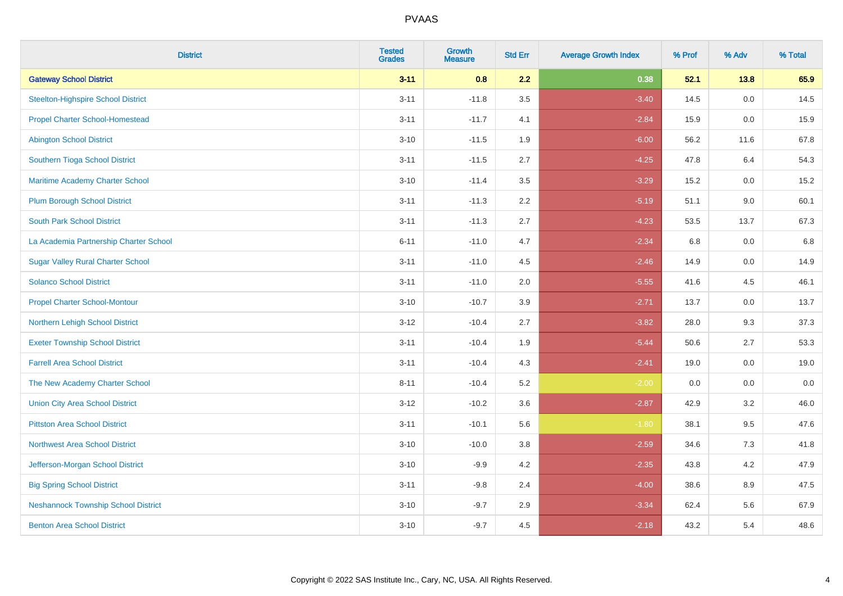| <b>District</b>                            | <b>Tested</b><br><b>Grades</b> | <b>Growth</b><br><b>Measure</b> | <b>Std Err</b> | <b>Average Growth Index</b> | % Prof | % Adv | % Total |
|--------------------------------------------|--------------------------------|---------------------------------|----------------|-----------------------------|--------|-------|---------|
| <b>Gateway School District</b>             | $3 - 11$                       | 0.8                             | 2.2            | 0.38                        | 52.1   | 13.8  | 65.9    |
| <b>Steelton-Highspire School District</b>  | $3 - 11$                       | $-11.8$                         | 3.5            | $-3.40$                     | 14.5   | 0.0   | 14.5    |
| <b>Propel Charter School-Homestead</b>     | $3 - 11$                       | $-11.7$                         | 4.1            | $-2.84$                     | 15.9   | 0.0   | 15.9    |
| <b>Abington School District</b>            | $3 - 10$                       | $-11.5$                         | 1.9            | $-6.00$                     | 56.2   | 11.6  | 67.8    |
| Southern Tioga School District             | $3 - 11$                       | $-11.5$                         | 2.7            | $-4.25$                     | 47.8   | 6.4   | 54.3    |
| Maritime Academy Charter School            | $3 - 10$                       | $-11.4$                         | 3.5            | $-3.29$                     | 15.2   | 0.0   | 15.2    |
| <b>Plum Borough School District</b>        | $3 - 11$                       | $-11.3$                         | 2.2            | $-5.19$                     | 51.1   | 9.0   | 60.1    |
| <b>South Park School District</b>          | $3 - 11$                       | $-11.3$                         | 2.7            | $-4.23$                     | 53.5   | 13.7  | 67.3    |
| La Academia Partnership Charter School     | $6 - 11$                       | $-11.0$                         | 4.7            | $-2.34$                     | 6.8    | 0.0   | 6.8     |
| <b>Sugar Valley Rural Charter School</b>   | $3 - 11$                       | $-11.0$                         | 4.5            | $-2.46$                     | 14.9   | 0.0   | 14.9    |
| <b>Solanco School District</b>             | $3 - 11$                       | $-11.0$                         | 2.0            | $-5.55$                     | 41.6   | 4.5   | 46.1    |
| <b>Propel Charter School-Montour</b>       | $3 - 10$                       | $-10.7$                         | 3.9            | $-2.71$                     | 13.7   | 0.0   | 13.7    |
| Northern Lehigh School District            | $3 - 12$                       | $-10.4$                         | 2.7            | $-3.82$                     | 28.0   | 9.3   | 37.3    |
| <b>Exeter Township School District</b>     | $3 - 11$                       | $-10.4$                         | 1.9            | $-5.44$                     | 50.6   | 2.7   | 53.3    |
| <b>Farrell Area School District</b>        | $3 - 11$                       | $-10.4$                         | 4.3            | $-2.41$                     | 19.0   | 0.0   | 19.0    |
| The New Academy Charter School             | $8 - 11$                       | $-10.4$                         | 5.2            | $-2.00$                     | 0.0    | 0.0   | 0.0     |
| <b>Union City Area School District</b>     | $3-12$                         | $-10.2$                         | 3.6            | $-2.87$                     | 42.9   | 3.2   | 46.0    |
| <b>Pittston Area School District</b>       | $3 - 11$                       | $-10.1$                         | 5.6            | $-1.80$                     | 38.1   | 9.5   | 47.6    |
| <b>Northwest Area School District</b>      | $3 - 10$                       | $-10.0$                         | 3.8            | $-2.59$                     | 34.6   | 7.3   | 41.8    |
| Jefferson-Morgan School District           | $3 - 10$                       | $-9.9$                          | 4.2            | $-2.35$                     | 43.8   | 4.2   | 47.9    |
| <b>Big Spring School District</b>          | $3 - 11$                       | $-9.8$                          | 2.4            | $-4.00$                     | 38.6   | 8.9   | 47.5    |
| <b>Neshannock Township School District</b> | $3 - 10$                       | $-9.7$                          | 2.9            | $-3.34$                     | 62.4   | 5.6   | 67.9    |
| <b>Benton Area School District</b>         | $3 - 10$                       | $-9.7$                          | 4.5            | $-2.18$                     | 43.2   | 5.4   | 48.6    |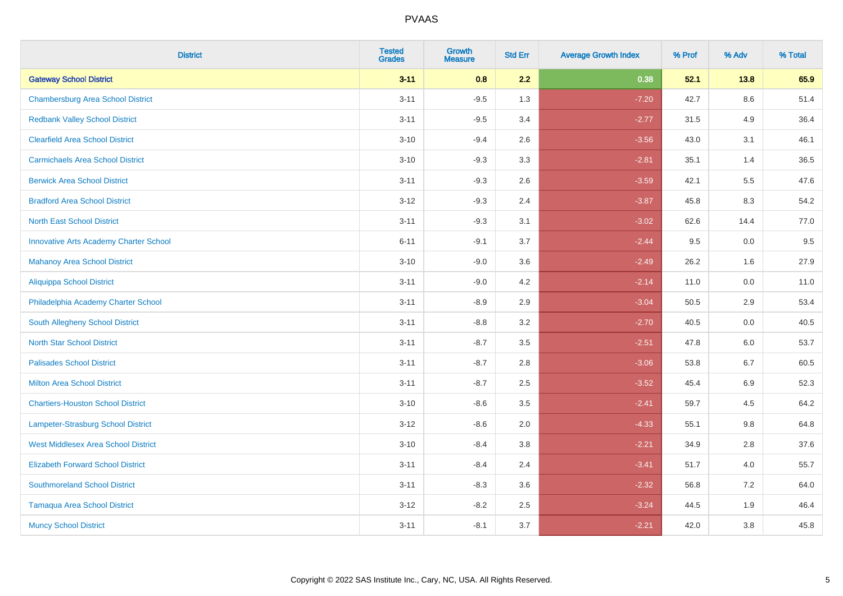| <b>District</b>                               | <b>Tested</b><br><b>Grades</b> | <b>Growth</b><br><b>Measure</b> | <b>Std Err</b> | <b>Average Growth Index</b> | % Prof | % Adv   | % Total |
|-----------------------------------------------|--------------------------------|---------------------------------|----------------|-----------------------------|--------|---------|---------|
| <b>Gateway School District</b>                | $3 - 11$                       | 0.8                             | 2.2            | 0.38                        | 52.1   | 13.8    | 65.9    |
| <b>Chambersburg Area School District</b>      | $3 - 11$                       | $-9.5$                          | 1.3            | $-7.20$                     | 42.7   | $8.6\,$ | 51.4    |
| <b>Redbank Valley School District</b>         | $3 - 11$                       | $-9.5$                          | 3.4            | $-2.77$                     | 31.5   | 4.9     | 36.4    |
| <b>Clearfield Area School District</b>        | $3 - 10$                       | $-9.4$                          | 2.6            | $-3.56$                     | 43.0   | 3.1     | 46.1    |
| <b>Carmichaels Area School District</b>       | $3 - 10$                       | $-9.3$                          | 3.3            | $-2.81$                     | 35.1   | 1.4     | 36.5    |
| <b>Berwick Area School District</b>           | $3 - 11$                       | $-9.3$                          | 2.6            | $-3.59$                     | 42.1   | 5.5     | 47.6    |
| <b>Bradford Area School District</b>          | $3 - 12$                       | $-9.3$                          | 2.4            | $-3.87$                     | 45.8   | 8.3     | 54.2    |
| <b>North East School District</b>             | $3 - 11$                       | $-9.3$                          | 3.1            | $-3.02$                     | 62.6   | 14.4    | 77.0    |
| <b>Innovative Arts Academy Charter School</b> | $6 - 11$                       | $-9.1$                          | 3.7            | $-2.44$                     | 9.5    | 0.0     | 9.5     |
| <b>Mahanoy Area School District</b>           | $3 - 10$                       | $-9.0$                          | 3.6            | $-2.49$                     | 26.2   | 1.6     | 27.9    |
| <b>Aliquippa School District</b>              | $3 - 11$                       | $-9.0$                          | 4.2            | $-2.14$                     | 11.0   | 0.0     | 11.0    |
| Philadelphia Academy Charter School           | $3 - 11$                       | $-8.9$                          | 2.9            | $-3.04$                     | 50.5   | 2.9     | 53.4    |
| South Allegheny School District               | $3 - 11$                       | $-8.8$                          | 3.2            | $-2.70$                     | 40.5   | 0.0     | 40.5    |
| <b>North Star School District</b>             | $3 - 11$                       | $-8.7$                          | 3.5            | $-2.51$                     | 47.8   | 6.0     | 53.7    |
| <b>Palisades School District</b>              | $3 - 11$                       | $-8.7$                          | 2.8            | $-3.06$                     | 53.8   | 6.7     | 60.5    |
| <b>Milton Area School District</b>            | $3 - 11$                       | $-8.7$                          | 2.5            | $-3.52$                     | 45.4   | 6.9     | 52.3    |
| <b>Chartiers-Houston School District</b>      | $3 - 10$                       | $-8.6$                          | 3.5            | $-2.41$                     | 59.7   | 4.5     | 64.2    |
| Lampeter-Strasburg School District            | $3 - 12$                       | $-8.6$                          | 2.0            | $-4.33$                     | 55.1   | 9.8     | 64.8    |
| <b>West Middlesex Area School District</b>    | $3 - 10$                       | $-8.4$                          | 3.8            | $-2.21$                     | 34.9   | 2.8     | 37.6    |
| <b>Elizabeth Forward School District</b>      | $3 - 11$                       | $-8.4$                          | 2.4            | $-3.41$                     | 51.7   | 4.0     | 55.7    |
| <b>Southmoreland School District</b>          | $3 - 11$                       | $-8.3$                          | 3.6            | $-2.32$                     | 56.8   | 7.2     | 64.0    |
| <b>Tamaqua Area School District</b>           | $3 - 12$                       | $-8.2$                          | 2.5            | $-3.24$                     | 44.5   | 1.9     | 46.4    |
| <b>Muncy School District</b>                  | $3 - 11$                       | $-8.1$                          | 3.7            | $-2.21$                     | 42.0   | 3.8     | 45.8    |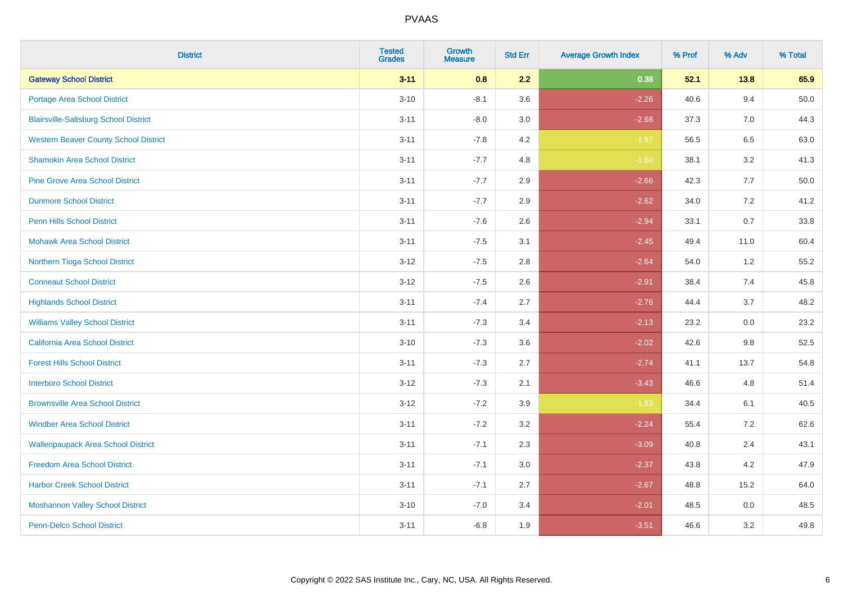| <b>District</b>                              | <b>Tested</b><br><b>Grades</b> | <b>Growth</b><br><b>Measure</b> | <b>Std Err</b> | <b>Average Growth Index</b> | % Prof | % Adv | % Total  |
|----------------------------------------------|--------------------------------|---------------------------------|----------------|-----------------------------|--------|-------|----------|
| <b>Gateway School District</b>               | $3 - 11$                       | 0.8                             | 2.2            | 0.38                        | 52.1   | 13.8  | 65.9     |
| <b>Portage Area School District</b>          | $3 - 10$                       | $-8.1$                          | 3.6            | $-2.26$                     | 40.6   | 9.4   | $50.0\,$ |
| <b>Blairsville-Saltsburg School District</b> | $3 - 11$                       | $-8.0$                          | 3.0            | $-2.68$                     | 37.3   | 7.0   | 44.3     |
| <b>Western Beaver County School District</b> | $3 - 11$                       | $-7.8$                          | 4.2            | $-1.87$                     | 56.5   | 6.5   | 63.0     |
| <b>Shamokin Area School District</b>         | $3 - 11$                       | $-7.7$                          | 4.8            | $-1.60$                     | 38.1   | 3.2   | 41.3     |
| <b>Pine Grove Area School District</b>       | $3 - 11$                       | $-7.7$                          | 2.9            | $-2.66$                     | 42.3   | 7.7   | 50.0     |
| <b>Dunmore School District</b>               | $3 - 11$                       | $-7.7$                          | 2.9            | $-2.62$                     | 34.0   | 7.2   | 41.2     |
| <b>Penn Hills School District</b>            | $3 - 11$                       | $-7.6$                          | 2.6            | $-2.94$                     | 33.1   | 0.7   | 33.8     |
| <b>Mohawk Area School District</b>           | $3 - 11$                       | $-7.5$                          | 3.1            | $-2.45$                     | 49.4   | 11.0  | 60.4     |
| Northern Tioga School District               | $3 - 12$                       | $-7.5$                          | 2.8            | $-2.64$                     | 54.0   | 1.2   | 55.2     |
| <b>Conneaut School District</b>              | $3 - 12$                       | $-7.5$                          | 2.6            | $-2.91$                     | 38.4   | 7.4   | 45.8     |
| <b>Highlands School District</b>             | $3 - 11$                       | $-7.4$                          | 2.7            | $-2.76$                     | 44.4   | 3.7   | 48.2     |
| <b>Williams Valley School District</b>       | $3 - 11$                       | $-7.3$                          | 3.4            | $-2.13$                     | 23.2   | 0.0   | 23.2     |
| <b>California Area School District</b>       | $3 - 10$                       | $-7.3$                          | 3.6            | $-2.02$                     | 42.6   | 9.8   | 52.5     |
| <b>Forest Hills School District</b>          | $3 - 11$                       | $-7.3$                          | 2.7            | $-2.74$                     | 41.1   | 13.7  | 54.8     |
| <b>Interboro School District</b>             | $3 - 12$                       | $-7.3$                          | 2.1            | $-3.43$                     | 46.6   | 4.8   | 51.4     |
| <b>Brownsville Area School District</b>      | $3 - 12$                       | $-7.2$                          | 3.9            | $-1.83$                     | 34.4   | 6.1   | 40.5     |
| <b>Windber Area School District</b>          | $3 - 11$                       | $-7.2$                          | 3.2            | $-2.24$                     | 55.4   | 7.2   | 62.6     |
| <b>Wallenpaupack Area School District</b>    | $3 - 11$                       | $-7.1$                          | 2.3            | $-3.09$                     | 40.8   | 2.4   | 43.1     |
| <b>Freedom Area School District</b>          | $3 - 11$                       | $-7.1$                          | 3.0            | $-2.37$                     | 43.8   | 4.2   | 47.9     |
| <b>Harbor Creek School District</b>          | $3 - 11$                       | $-7.1$                          | 2.7            | $-2.67$                     | 48.8   | 15.2  | 64.0     |
| <b>Moshannon Valley School District</b>      | $3 - 10$                       | $-7.0$                          | 3.4            | $-2.01$                     | 48.5   | 0.0   | 48.5     |
| <b>Penn-Delco School District</b>            | $3 - 11$                       | $-6.8$                          | 1.9            | $-3.51$                     | 46.6   | 3.2   | 49.8     |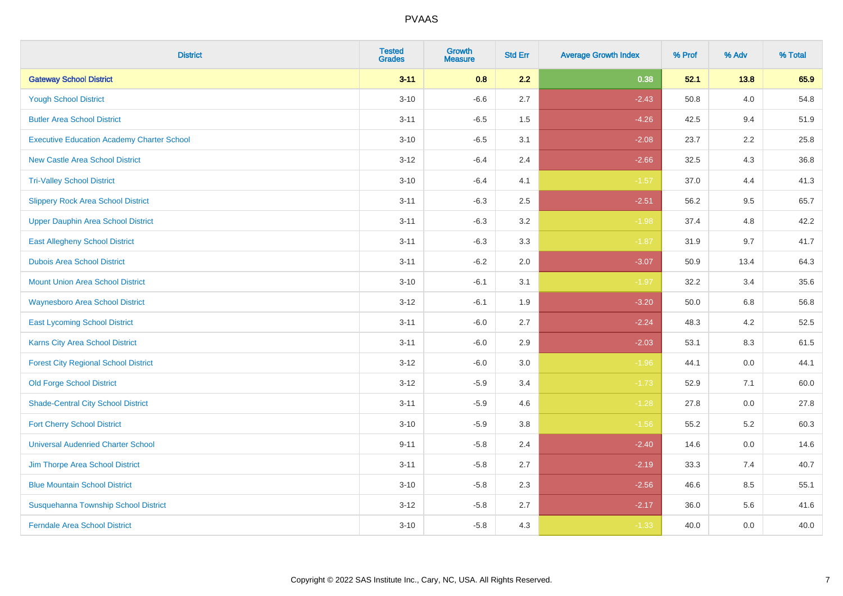| <b>District</b>                                   | <b>Tested</b><br><b>Grades</b> | <b>Growth</b><br><b>Measure</b> | <b>Std Err</b> | <b>Average Growth Index</b> | % Prof | % Adv | % Total |
|---------------------------------------------------|--------------------------------|---------------------------------|----------------|-----------------------------|--------|-------|---------|
| <b>Gateway School District</b>                    | $3 - 11$                       | 0.8                             | 2.2            | 0.38                        | 52.1   | 13.8  | 65.9    |
| <b>Yough School District</b>                      | $3 - 10$                       | $-6.6$                          | 2.7            | $-2.43$                     | 50.8   | 4.0   | 54.8    |
| <b>Butler Area School District</b>                | $3 - 11$                       | $-6.5$                          | 1.5            | $-4.26$                     | 42.5   | 9.4   | 51.9    |
| <b>Executive Education Academy Charter School</b> | $3 - 10$                       | $-6.5$                          | 3.1            | $-2.08$                     | 23.7   | 2.2   | 25.8    |
| <b>New Castle Area School District</b>            | $3 - 12$                       | $-6.4$                          | 2.4            | $-2.66$                     | 32.5   | 4.3   | 36.8    |
| <b>Tri-Valley School District</b>                 | $3 - 10$                       | $-6.4$                          | 4.1            | $-1.57$                     | 37.0   | 4.4   | 41.3    |
| <b>Slippery Rock Area School District</b>         | $3 - 11$                       | $-6.3$                          | 2.5            | $-2.51$                     | 56.2   | 9.5   | 65.7    |
| <b>Upper Dauphin Area School District</b>         | $3 - 11$                       | $-6.3$                          | 3.2            | $-1.98$                     | 37.4   | 4.8   | 42.2    |
| <b>East Allegheny School District</b>             | $3 - 11$                       | $-6.3$                          | 3.3            | $-1.87$                     | 31.9   | 9.7   | 41.7    |
| <b>Dubois Area School District</b>                | $3 - 11$                       | $-6.2$                          | 2.0            | $-3.07$                     | 50.9   | 13.4  | 64.3    |
| <b>Mount Union Area School District</b>           | $3 - 10$                       | $-6.1$                          | 3.1            | $-1.97$                     | 32.2   | 3.4   | 35.6    |
| <b>Waynesboro Area School District</b>            | $3 - 12$                       | $-6.1$                          | 1.9            | $-3.20$                     | 50.0   | 6.8   | 56.8    |
| <b>East Lycoming School District</b>              | $3 - 11$                       | $-6.0$                          | 2.7            | $-2.24$                     | 48.3   | 4.2   | 52.5    |
| <b>Karns City Area School District</b>            | $3 - 11$                       | $-6.0$                          | 2.9            | $-2.03$                     | 53.1   | 8.3   | 61.5    |
| <b>Forest City Regional School District</b>       | $3 - 12$                       | $-6.0$                          | 3.0            | $-1.96$                     | 44.1   | 0.0   | 44.1    |
| <b>Old Forge School District</b>                  | $3 - 12$                       | $-5.9$                          | 3.4            | $-1.73$                     | 52.9   | 7.1   | 60.0    |
| <b>Shade-Central City School District</b>         | $3 - 11$                       | $-5.9$                          | 4.6            | $-1.28$                     | 27.8   | 0.0   | 27.8    |
| <b>Fort Cherry School District</b>                | $3 - 10$                       | $-5.9$                          | 3.8            | $-1.56$                     | 55.2   | 5.2   | 60.3    |
| <b>Universal Audenried Charter School</b>         | $9 - 11$                       | $-5.8$                          | 2.4            | $-2.40$                     | 14.6   | 0.0   | 14.6    |
| Jim Thorpe Area School District                   | $3 - 11$                       | $-5.8$                          | 2.7            | $-2.19$                     | 33.3   | 7.4   | 40.7    |
| <b>Blue Mountain School District</b>              | $3 - 10$                       | $-5.8$                          | 2.3            | $-2.56$                     | 46.6   | 8.5   | 55.1    |
| Susquehanna Township School District              | $3 - 12$                       | $-5.8$                          | 2.7            | $-2.17$                     | 36.0   | 5.6   | 41.6    |
| <b>Ferndale Area School District</b>              | $3 - 10$                       | $-5.8$                          | 4.3            | $-1.33$                     | 40.0   | 0.0   | 40.0    |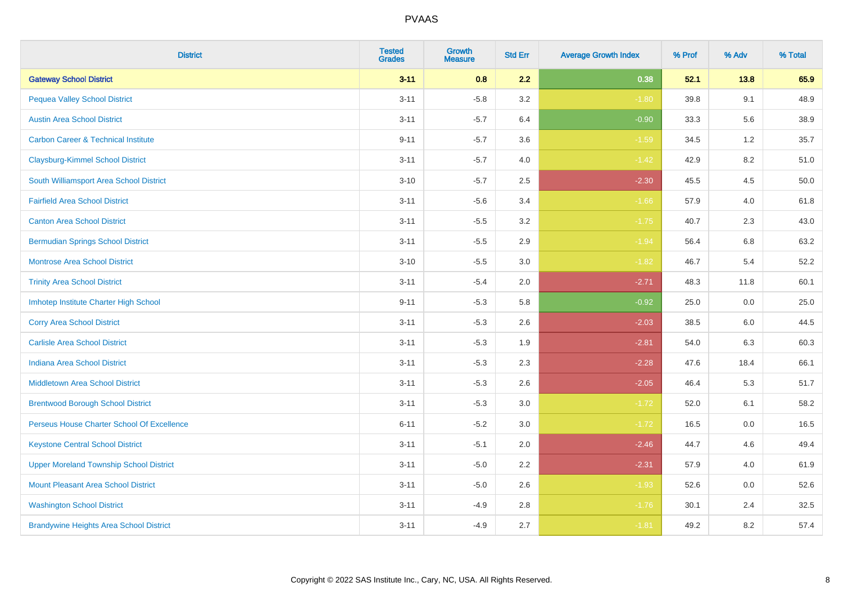| <b>District</b>                                | <b>Tested</b><br><b>Grades</b> | Growth<br><b>Measure</b> | <b>Std Err</b> | <b>Average Growth Index</b> | % Prof | % Adv   | % Total |
|------------------------------------------------|--------------------------------|--------------------------|----------------|-----------------------------|--------|---------|---------|
| <b>Gateway School District</b>                 | $3 - 11$                       | 0.8                      | 2.2            | 0.38                        | 52.1   | 13.8    | 65.9    |
| <b>Pequea Valley School District</b>           | $3 - 11$                       | $-5.8$                   | 3.2            | $-1.80$                     | 39.8   | 9.1     | 48.9    |
| <b>Austin Area School District</b>             | $3 - 11$                       | $-5.7$                   | 6.4            | $-0.90$                     | 33.3   | 5.6     | 38.9    |
| <b>Carbon Career &amp; Technical Institute</b> | $9 - 11$                       | $-5.7$                   | 3.6            | $-1.59$                     | 34.5   | $1.2\,$ | 35.7    |
| <b>Claysburg-Kimmel School District</b>        | $3 - 11$                       | $-5.7$                   | 4.0            | $-1.42$                     | 42.9   | 8.2     | 51.0    |
| South Williamsport Area School District        | $3 - 10$                       | $-5.7$                   | 2.5            | $-2.30$                     | 45.5   | 4.5     | 50.0    |
| <b>Fairfield Area School District</b>          | $3 - 11$                       | $-5.6$                   | 3.4            | $-1.66$                     | 57.9   | 4.0     | 61.8    |
| <b>Canton Area School District</b>             | $3 - 11$                       | $-5.5$                   | 3.2            | $-1.75$                     | 40.7   | 2.3     | 43.0    |
| <b>Bermudian Springs School District</b>       | $3 - 11$                       | $-5.5$                   | 2.9            | $-1.94$                     | 56.4   | 6.8     | 63.2    |
| <b>Montrose Area School District</b>           | $3 - 10$                       | $-5.5$                   | 3.0            | $-1.82$                     | 46.7   | 5.4     | 52.2    |
| <b>Trinity Area School District</b>            | $3 - 11$                       | $-5.4$                   | 2.0            | $-2.71$                     | 48.3   | 11.8    | 60.1    |
| Imhotep Institute Charter High School          | $9 - 11$                       | $-5.3$                   | 5.8            | $-0.92$                     | 25.0   | 0.0     | 25.0    |
| <b>Corry Area School District</b>              | $3 - 11$                       | $-5.3$                   | 2.6            | $-2.03$                     | 38.5   | 6.0     | 44.5    |
| <b>Carlisle Area School District</b>           | $3 - 11$                       | $-5.3$                   | 1.9            | $-2.81$                     | 54.0   | 6.3     | 60.3    |
| <b>Indiana Area School District</b>            | $3 - 11$                       | $-5.3$                   | 2.3            | $-2.28$                     | 47.6   | 18.4    | 66.1    |
| <b>Middletown Area School District</b>         | $3 - 11$                       | $-5.3$                   | 2.6            | $-2.05$                     | 46.4   | 5.3     | 51.7    |
| <b>Brentwood Borough School District</b>       | $3 - 11$                       | $-5.3$                   | 3.0            | $-1.72$                     | 52.0   | 6.1     | 58.2    |
| Perseus House Charter School Of Excellence     | $6 - 11$                       | $-5.2$                   | 3.0            | $-1.72$                     | 16.5   | 0.0     | 16.5    |
| <b>Keystone Central School District</b>        | $3 - 11$                       | $-5.1$                   | 2.0            | $-2.46$                     | 44.7   | 4.6     | 49.4    |
| <b>Upper Moreland Township School District</b> | $3 - 11$                       | $-5.0$                   | 2.2            | $-2.31$                     | 57.9   | 4.0     | 61.9    |
| <b>Mount Pleasant Area School District</b>     | $3 - 11$                       | $-5.0$                   | 2.6            | $-1.93$                     | 52.6   | 0.0     | 52.6    |
| <b>Washington School District</b>              | $3 - 11$                       | $-4.9$                   | 2.8            | $-1.76$                     | 30.1   | 2.4     | 32.5    |
| <b>Brandywine Heights Area School District</b> | $3 - 11$                       | $-4.9$                   | 2.7            | $-1.81$                     | 49.2   | 8.2     | 57.4    |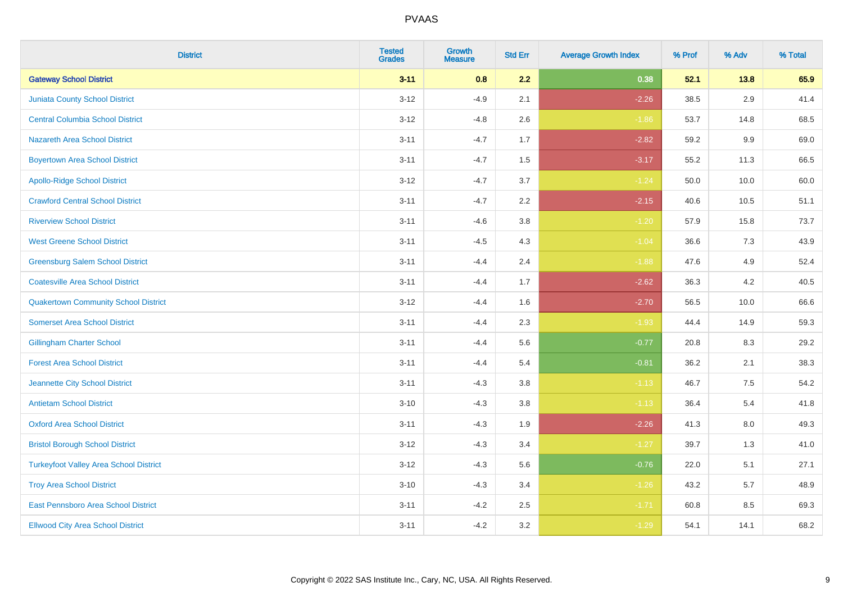| <b>District</b>                               | <b>Tested</b><br><b>Grades</b> | <b>Growth</b><br><b>Measure</b> | <b>Std Err</b> | <b>Average Growth Index</b> | % Prof | % Adv   | % Total |
|-----------------------------------------------|--------------------------------|---------------------------------|----------------|-----------------------------|--------|---------|---------|
| <b>Gateway School District</b>                | $3 - 11$                       | 0.8                             | 2.2            | 0.38                        | 52.1   | 13.8    | 65.9    |
| <b>Juniata County School District</b>         | $3 - 12$                       | $-4.9$                          | 2.1            | $-2.26$                     | 38.5   | $2.9\,$ | 41.4    |
| <b>Central Columbia School District</b>       | $3 - 12$                       | $-4.8$                          | 2.6            | $-1.86$                     | 53.7   | 14.8    | 68.5    |
| <b>Nazareth Area School District</b>          | $3 - 11$                       | $-4.7$                          | 1.7            | $-2.82$                     | 59.2   | $9.9\,$ | 69.0    |
| <b>Boyertown Area School District</b>         | $3 - 11$                       | $-4.7$                          | 1.5            | $-3.17$                     | 55.2   | 11.3    | 66.5    |
| <b>Apollo-Ridge School District</b>           | $3 - 12$                       | $-4.7$                          | 3.7            | $-1.24$                     | 50.0   | 10.0    | 60.0    |
| <b>Crawford Central School District</b>       | $3 - 11$                       | $-4.7$                          | 2.2            | $-2.15$                     | 40.6   | 10.5    | 51.1    |
| <b>Riverview School District</b>              | $3 - 11$                       | $-4.6$                          | 3.8            | $-1.20$                     | 57.9   | 15.8    | 73.7    |
| <b>West Greene School District</b>            | $3 - 11$                       | $-4.5$                          | 4.3            | $-1.04$                     | 36.6   | 7.3     | 43.9    |
| <b>Greensburg Salem School District</b>       | $3 - 11$                       | $-4.4$                          | 2.4            | $-1.88$                     | 47.6   | 4.9     | 52.4    |
| <b>Coatesville Area School District</b>       | $3 - 11$                       | $-4.4$                          | 1.7            | $-2.62$                     | 36.3   | 4.2     | 40.5    |
| <b>Quakertown Community School District</b>   | $3-12$                         | $-4.4$                          | 1.6            | $-2.70$                     | 56.5   | 10.0    | 66.6    |
| <b>Somerset Area School District</b>          | $3 - 11$                       | $-4.4$                          | 2.3            | $-1.93$                     | 44.4   | 14.9    | 59.3    |
| <b>Gillingham Charter School</b>              | $3 - 11$                       | $-4.4$                          | 5.6            | $-0.77$                     | 20.8   | 8.3     | 29.2    |
| <b>Forest Area School District</b>            | $3 - 11$                       | $-4.4$                          | 5.4            | $-0.81$                     | 36.2   | 2.1     | 38.3    |
| Jeannette City School District                | $3 - 11$                       | $-4.3$                          | 3.8            | $-1.13$                     | 46.7   | $7.5\,$ | 54.2    |
| <b>Antietam School District</b>               | $3 - 10$                       | $-4.3$                          | 3.8            | $-1.13$                     | 36.4   | $5.4$   | 41.8    |
| <b>Oxford Area School District</b>            | $3 - 11$                       | $-4.3$                          | 1.9            | $-2.26$                     | 41.3   | 8.0     | 49.3    |
| <b>Bristol Borough School District</b>        | $3-12$                         | $-4.3$                          | 3.4            | $-1.27$                     | 39.7   | 1.3     | 41.0    |
| <b>Turkeyfoot Valley Area School District</b> | $3 - 12$                       | $-4.3$                          | 5.6            | $-0.76$                     | 22.0   | 5.1     | 27.1    |
| <b>Troy Area School District</b>              | $3 - 10$                       | $-4.3$                          | 3.4            | $-1.26$                     | 43.2   | 5.7     | 48.9    |
| East Pennsboro Area School District           | $3 - 11$                       | $-4.2$                          | 2.5            | $-1.71$                     | 60.8   | 8.5     | 69.3    |
| <b>Ellwood City Area School District</b>      | $3 - 11$                       | $-4.2$                          | 3.2            | $-1.29$                     | 54.1   | 14.1    | 68.2    |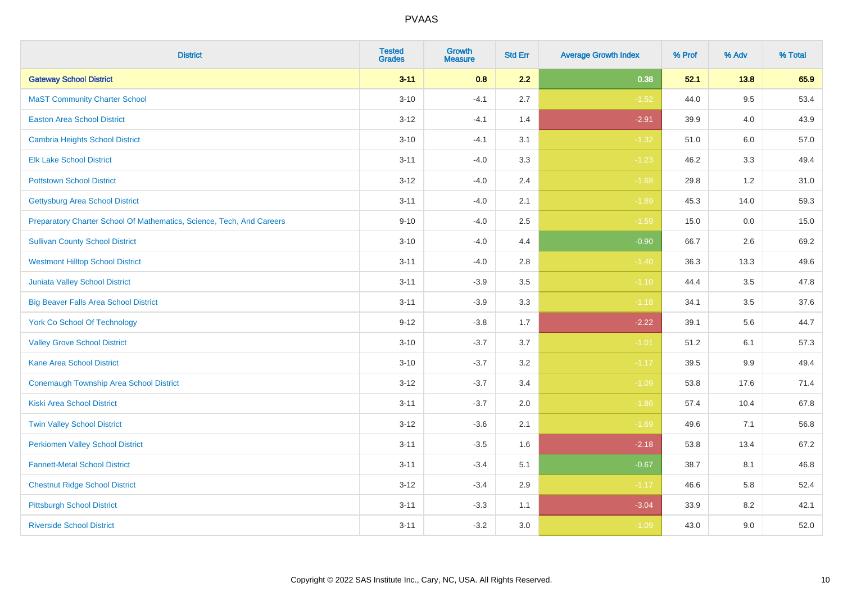| <b>District</b>                                                       | <b>Tested</b><br><b>Grades</b> | <b>Growth</b><br><b>Measure</b> | <b>Std Err</b> | <b>Average Growth Index</b> | % Prof | % Adv   | % Total |
|-----------------------------------------------------------------------|--------------------------------|---------------------------------|----------------|-----------------------------|--------|---------|---------|
| <b>Gateway School District</b>                                        | $3 - 11$                       | 0.8                             | 2.2            | 0.38                        | 52.1   | 13.8    | 65.9    |
| <b>MaST Community Charter School</b>                                  | $3 - 10$                       | $-4.1$                          | 2.7            | $-1.52$                     | 44.0   | 9.5     | 53.4    |
| <b>Easton Area School District</b>                                    | $3 - 12$                       | $-4.1$                          | 1.4            | $-2.91$                     | 39.9   | 4.0     | 43.9    |
| <b>Cambria Heights School District</b>                                | $3 - 10$                       | $-4.1$                          | 3.1            | $-1.32$                     | 51.0   | $6.0\,$ | 57.0    |
| <b>Elk Lake School District</b>                                       | $3 - 11$                       | $-4.0$                          | 3.3            | $-1.23$                     | 46.2   | 3.3     | 49.4    |
| <b>Pottstown School District</b>                                      | $3 - 12$                       | $-4.0$                          | 2.4            | $-1.68$                     | 29.8   | 1.2     | 31.0    |
| <b>Gettysburg Area School District</b>                                | $3 - 11$                       | $-4.0$                          | 2.1            | $-1.89$                     | 45.3   | 14.0    | 59.3    |
| Preparatory Charter School Of Mathematics, Science, Tech, And Careers | $9 - 10$                       | $-4.0$                          | 2.5            | $-1.59$                     | 15.0   | 0.0     | 15.0    |
| <b>Sullivan County School District</b>                                | $3 - 10$                       | $-4.0$                          | 4.4            | $-0.90$                     | 66.7   | 2.6     | 69.2    |
| <b>Westmont Hilltop School District</b>                               | $3 - 11$                       | $-4.0$                          | 2.8            | $-1.40$                     | 36.3   | 13.3    | 49.6    |
| Juniata Valley School District                                        | $3 - 11$                       | $-3.9$                          | 3.5            | $-1.10$                     | 44.4   | 3.5     | 47.8    |
| <b>Big Beaver Falls Area School District</b>                          | $3 - 11$                       | $-3.9$                          | 3.3            | $-1.18$                     | 34.1   | 3.5     | 37.6    |
| <b>York Co School Of Technology</b>                                   | $9 - 12$                       | $-3.8$                          | 1.7            | $-2.22$                     | 39.1   | 5.6     | 44.7    |
| <b>Valley Grove School District</b>                                   | $3 - 10$                       | $-3.7$                          | 3.7            | $-1.01$                     | 51.2   | 6.1     | 57.3    |
| <b>Kane Area School District</b>                                      | $3 - 10$                       | $-3.7$                          | 3.2            | $-1.17$                     | 39.5   | 9.9     | 49.4    |
| <b>Conemaugh Township Area School District</b>                        | $3 - 12$                       | $-3.7$                          | 3.4            | $-1.09$                     | 53.8   | 17.6    | 71.4    |
| <b>Kiski Area School District</b>                                     | $3 - 11$                       | $-3.7$                          | 2.0            | $-1.86$                     | 57.4   | 10.4    | 67.8    |
| <b>Twin Valley School District</b>                                    | $3 - 12$                       | $-3.6$                          | 2.1            | $-1.69$                     | 49.6   | 7.1     | 56.8    |
| <b>Perkiomen Valley School District</b>                               | $3 - 11$                       | $-3.5$                          | 1.6            | $-2.18$                     | 53.8   | 13.4    | 67.2    |
| <b>Fannett-Metal School District</b>                                  | $3 - 11$                       | $-3.4$                          | 5.1            | $-0.67$                     | 38.7   | 8.1     | 46.8    |
| <b>Chestnut Ridge School District</b>                                 | $3 - 12$                       | $-3.4$                          | 2.9            | $-1.17$                     | 46.6   | 5.8     | 52.4    |
| <b>Pittsburgh School District</b>                                     | $3 - 11$                       | $-3.3$                          | 1.1            | $-3.04$                     | 33.9   | 8.2     | 42.1    |
| <b>Riverside School District</b>                                      | $3 - 11$                       | $-3.2$                          | 3.0            | $-1.09$                     | 43.0   | 9.0     | 52.0    |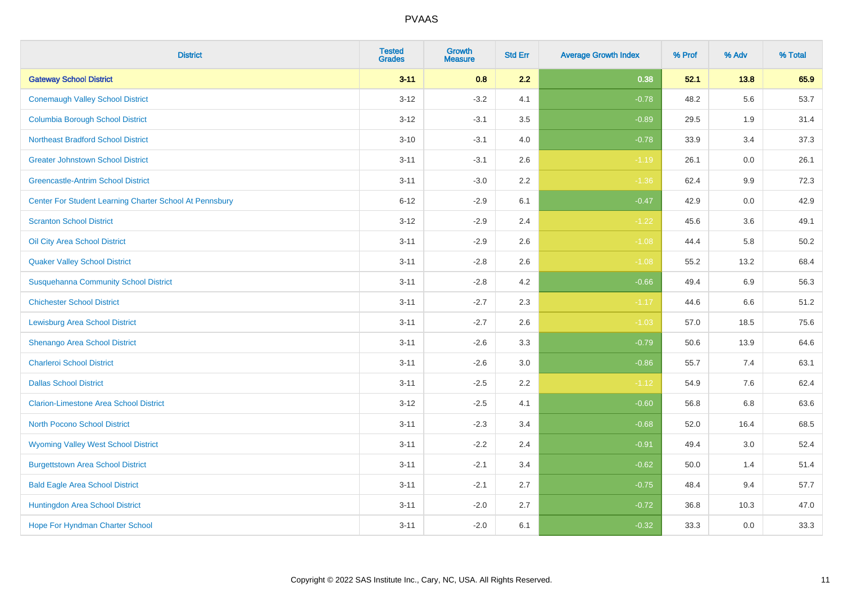| <b>District</b>                                         | <b>Tested</b><br><b>Grades</b> | <b>Growth</b><br><b>Measure</b> | <b>Std Err</b> | <b>Average Growth Index</b> | % Prof | % Adv   | % Total |
|---------------------------------------------------------|--------------------------------|---------------------------------|----------------|-----------------------------|--------|---------|---------|
| <b>Gateway School District</b>                          | $3 - 11$                       | 0.8                             | 2.2            | 0.38                        | 52.1   | 13.8    | 65.9    |
| <b>Conemaugh Valley School District</b>                 | $3 - 12$                       | $-3.2$                          | 4.1            | $-0.78$                     | 48.2   | 5.6     | 53.7    |
| <b>Columbia Borough School District</b>                 | $3 - 12$                       | $-3.1$                          | 3.5            | $-0.89$                     | 29.5   | 1.9     | 31.4    |
| <b>Northeast Bradford School District</b>               | $3 - 10$                       | $-3.1$                          | 4.0            | $-0.78$                     | 33.9   | 3.4     | 37.3    |
| <b>Greater Johnstown School District</b>                | $3 - 11$                       | $-3.1$                          | 2.6            | $-1.19$                     | 26.1   | 0.0     | 26.1    |
| <b>Greencastle-Antrim School District</b>               | $3 - 11$                       | $-3.0$                          | 2.2            | $-1.36$                     | 62.4   | 9.9     | 72.3    |
| Center For Student Learning Charter School At Pennsbury | $6 - 12$                       | $-2.9$                          | 6.1            | $-0.47$                     | 42.9   | $0.0\,$ | 42.9    |
| <b>Scranton School District</b>                         | $3 - 12$                       | $-2.9$                          | 2.4            | $-1.22$                     | 45.6   | 3.6     | 49.1    |
| Oil City Area School District                           | $3 - 11$                       | $-2.9$                          | 2.6            | $-1.08$                     | 44.4   | 5.8     | 50.2    |
| <b>Quaker Valley School District</b>                    | $3 - 11$                       | $-2.8$                          | 2.6            | $-1.08$                     | 55.2   | 13.2    | 68.4    |
| <b>Susquehanna Community School District</b>            | $3 - 11$                       | $-2.8$                          | 4.2            | $-0.66$                     | 49.4   | 6.9     | 56.3    |
| <b>Chichester School District</b>                       | $3 - 11$                       | $-2.7$                          | 2.3            | $-1.17$                     | 44.6   | 6.6     | 51.2    |
| <b>Lewisburg Area School District</b>                   | $3 - 11$                       | $-2.7$                          | 2.6            | $-1.03$                     | 57.0   | 18.5    | 75.6    |
| Shenango Area School District                           | $3 - 11$                       | $-2.6$                          | 3.3            | $-0.79$                     | 50.6   | 13.9    | 64.6    |
| <b>Charleroi School District</b>                        | $3 - 11$                       | $-2.6$                          | 3.0            | $-0.86$                     | 55.7   | 7.4     | 63.1    |
| <b>Dallas School District</b>                           | $3 - 11$                       | $-2.5$                          | 2.2            | $-1.12$                     | 54.9   | 7.6     | 62.4    |
| <b>Clarion-Limestone Area School District</b>           | $3 - 12$                       | $-2.5$                          | 4.1            | $-0.60$                     | 56.8   | 6.8     | 63.6    |
| North Pocono School District                            | $3 - 11$                       | $-2.3$                          | 3.4            | $-0.68$                     | 52.0   | 16.4    | 68.5    |
| <b>Wyoming Valley West School District</b>              | $3 - 11$                       | $-2.2$                          | 2.4            | $-0.91$                     | 49.4   | 3.0     | 52.4    |
| <b>Burgettstown Area School District</b>                | $3 - 11$                       | $-2.1$                          | 3.4            | $-0.62$                     | 50.0   | 1.4     | 51.4    |
| <b>Bald Eagle Area School District</b>                  | $3 - 11$                       | $-2.1$                          | 2.7            | $-0.75$                     | 48.4   | 9.4     | 57.7    |
| Huntingdon Area School District                         | $3 - 11$                       | $-2.0$                          | 2.7            | $-0.72$                     | 36.8   | 10.3    | 47.0    |
| Hope For Hyndman Charter School                         | $3 - 11$                       | $-2.0$                          | 6.1            | $-0.32$                     | 33.3   | 0.0     | 33.3    |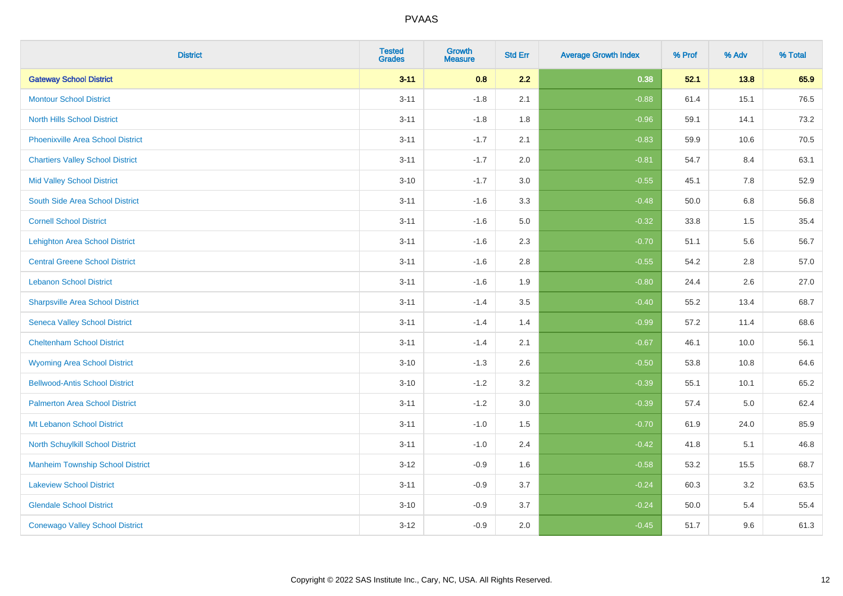| <b>District</b>                          | <b>Tested</b><br><b>Grades</b> | <b>Growth</b><br><b>Measure</b> | <b>Std Err</b> | <b>Average Growth Index</b> | % Prof | % Adv | % Total |
|------------------------------------------|--------------------------------|---------------------------------|----------------|-----------------------------|--------|-------|---------|
| <b>Gateway School District</b>           | $3 - 11$                       | 0.8                             | 2.2            | 0.38                        | 52.1   | 13.8  | 65.9    |
| <b>Montour School District</b>           | $3 - 11$                       | $-1.8$                          | 2.1            | $-0.88$                     | 61.4   | 15.1  | 76.5    |
| <b>North Hills School District</b>       | $3 - 11$                       | $-1.8$                          | 1.8            | $-0.96$                     | 59.1   | 14.1  | 73.2    |
| <b>Phoenixville Area School District</b> | $3 - 11$                       | $-1.7$                          | 2.1            | $-0.83$                     | 59.9   | 10.6  | 70.5    |
| <b>Chartiers Valley School District</b>  | $3 - 11$                       | $-1.7$                          | 2.0            | $-0.81$                     | 54.7   | 8.4   | 63.1    |
| <b>Mid Valley School District</b>        | $3 - 10$                       | $-1.7$                          | 3.0            | $-0.55$                     | 45.1   | 7.8   | 52.9    |
| South Side Area School District          | $3 - 11$                       | $-1.6$                          | 3.3            | $-0.48$                     | 50.0   | 6.8   | 56.8    |
| <b>Cornell School District</b>           | $3 - 11$                       | $-1.6$                          | 5.0            | $-0.32$                     | 33.8   | 1.5   | 35.4    |
| <b>Lehighton Area School District</b>    | $3 - 11$                       | $-1.6$                          | 2.3            | $-0.70$                     | 51.1   | 5.6   | 56.7    |
| <b>Central Greene School District</b>    | $3 - 11$                       | $-1.6$                          | 2.8            | $-0.55$                     | 54.2   | 2.8   | 57.0    |
| <b>Lebanon School District</b>           | $3 - 11$                       | $-1.6$                          | 1.9            | $-0.80$                     | 24.4   | 2.6   | 27.0    |
| <b>Sharpsville Area School District</b>  | $3 - 11$                       | $-1.4$                          | 3.5            | $-0.40$                     | 55.2   | 13.4  | 68.7    |
| <b>Seneca Valley School District</b>     | $3 - 11$                       | $-1.4$                          | 1.4            | $-0.99$                     | 57.2   | 11.4  | 68.6    |
| <b>Cheltenham School District</b>        | $3 - 11$                       | $-1.4$                          | 2.1            | $-0.67$                     | 46.1   | 10.0  | 56.1    |
| <b>Wyoming Area School District</b>      | $3 - 10$                       | $-1.3$                          | 2.6            | $-0.50$                     | 53.8   | 10.8  | 64.6    |
| <b>Bellwood-Antis School District</b>    | $3 - 10$                       | $-1.2$                          | 3.2            | $-0.39$                     | 55.1   | 10.1  | 65.2    |
| <b>Palmerton Area School District</b>    | $3 - 11$                       | $-1.2$                          | 3.0            | $-0.39$                     | 57.4   | 5.0   | 62.4    |
| Mt Lebanon School District               | $3 - 11$                       | $-1.0$                          | 1.5            | $-0.70$                     | 61.9   | 24.0  | 85.9    |
| <b>North Schuylkill School District</b>  | $3 - 11$                       | $-1.0$                          | 2.4            | $-0.42$                     | 41.8   | 5.1   | 46.8    |
| <b>Manheim Township School District</b>  | $3 - 12$                       | $-0.9$                          | 1.6            | $-0.58$                     | 53.2   | 15.5  | 68.7    |
| <b>Lakeview School District</b>          | $3 - 11$                       | $-0.9$                          | 3.7            | $-0.24$                     | 60.3   | 3.2   | 63.5    |
| <b>Glendale School District</b>          | $3 - 10$                       | $-0.9$                          | 3.7            | $-0.24$                     | 50.0   | 5.4   | 55.4    |
| <b>Conewago Valley School District</b>   | $3 - 12$                       | $-0.9$                          | 2.0            | $-0.45$                     | 51.7   | 9.6   | 61.3    |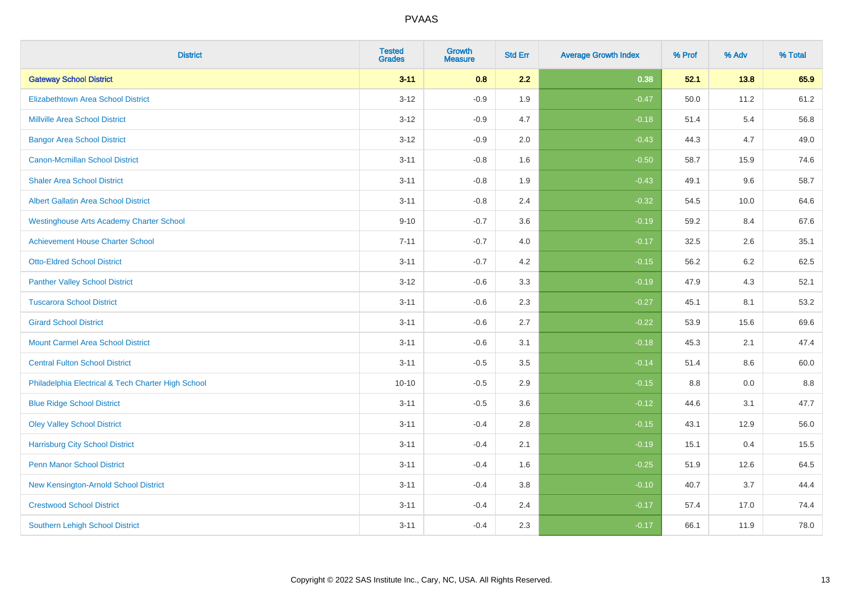| <b>District</b>                                    | <b>Tested</b><br><b>Grades</b> | <b>Growth</b><br><b>Measure</b> | <b>Std Err</b> | <b>Average Growth Index</b> | % Prof | % Adv | % Total |
|----------------------------------------------------|--------------------------------|---------------------------------|----------------|-----------------------------|--------|-------|---------|
| <b>Gateway School District</b>                     | $3 - 11$                       | 0.8                             | 2.2            | 0.38                        | 52.1   | 13.8  | 65.9    |
| <b>Elizabethtown Area School District</b>          | $3 - 12$                       | $-0.9$                          | 1.9            | $-0.47$                     | 50.0   | 11.2  | 61.2    |
| <b>Millville Area School District</b>              | $3 - 12$                       | $-0.9$                          | 4.7            | $-0.18$                     | 51.4   | 5.4   | 56.8    |
| <b>Bangor Area School District</b>                 | $3 - 12$                       | $-0.9$                          | 2.0            | $-0.43$                     | 44.3   | 4.7   | 49.0    |
| <b>Canon-Mcmillan School District</b>              | $3 - 11$                       | $-0.8$                          | 1.6            | $-0.50$                     | 58.7   | 15.9  | 74.6    |
| <b>Shaler Area School District</b>                 | $3 - 11$                       | $-0.8$                          | 1.9            | $-0.43$                     | 49.1   | 9.6   | 58.7    |
| Albert Gallatin Area School District               | $3 - 11$                       | $-0.8$                          | 2.4            | $-0.32$                     | 54.5   | 10.0  | 64.6    |
| <b>Westinghouse Arts Academy Charter School</b>    | $9 - 10$                       | $-0.7$                          | 3.6            | $-0.19$                     | 59.2   | 8.4   | 67.6    |
| <b>Achievement House Charter School</b>            | $7 - 11$                       | $-0.7$                          | 4.0            | $-0.17$                     | 32.5   | 2.6   | 35.1    |
| <b>Otto-Eldred School District</b>                 | $3 - 11$                       | $-0.7$                          | 4.2            | $-0.15$                     | 56.2   | 6.2   | 62.5    |
| <b>Panther Valley School District</b>              | $3 - 12$                       | $-0.6$                          | 3.3            | $-0.19$                     | 47.9   | 4.3   | 52.1    |
| <b>Tuscarora School District</b>                   | $3 - 11$                       | $-0.6$                          | 2.3            | $-0.27$                     | 45.1   | 8.1   | 53.2    |
| <b>Girard School District</b>                      | $3 - 11$                       | $-0.6$                          | 2.7            | $-0.22$                     | 53.9   | 15.6  | 69.6    |
| <b>Mount Carmel Area School District</b>           | $3 - 11$                       | $-0.6$                          | 3.1            | $-0.18$                     | 45.3   | 2.1   | 47.4    |
| <b>Central Fulton School District</b>              | $3 - 11$                       | $-0.5$                          | 3.5            | $-0.14$                     | 51.4   | 8.6   | 60.0    |
| Philadelphia Electrical & Tech Charter High School | $10 - 10$                      | $-0.5$                          | 2.9            | $-0.15$                     | 8.8    | 0.0   | $8.8\,$ |
| <b>Blue Ridge School District</b>                  | $3 - 11$                       | $-0.5$                          | 3.6            | $-0.12$                     | 44.6   | 3.1   | 47.7    |
| <b>Oley Valley School District</b>                 | $3 - 11$                       | $-0.4$                          | 2.8            | $-0.15$                     | 43.1   | 12.9  | 56.0    |
| <b>Harrisburg City School District</b>             | $3 - 11$                       | $-0.4$                          | 2.1            | $-0.19$                     | 15.1   | 0.4   | 15.5    |
| <b>Penn Manor School District</b>                  | $3 - 11$                       | $-0.4$                          | 1.6            | $-0.25$                     | 51.9   | 12.6  | 64.5    |
| New Kensington-Arnold School District              | $3 - 11$                       | $-0.4$                          | 3.8            | $-0.10$                     | 40.7   | 3.7   | 44.4    |
| <b>Crestwood School District</b>                   | $3 - 11$                       | $-0.4$                          | 2.4            | $-0.17$                     | 57.4   | 17.0  | 74.4    |
| <b>Southern Lehigh School District</b>             | $3 - 11$                       | $-0.4$                          | 2.3            | $-0.17$                     | 66.1   | 11.9  | 78.0    |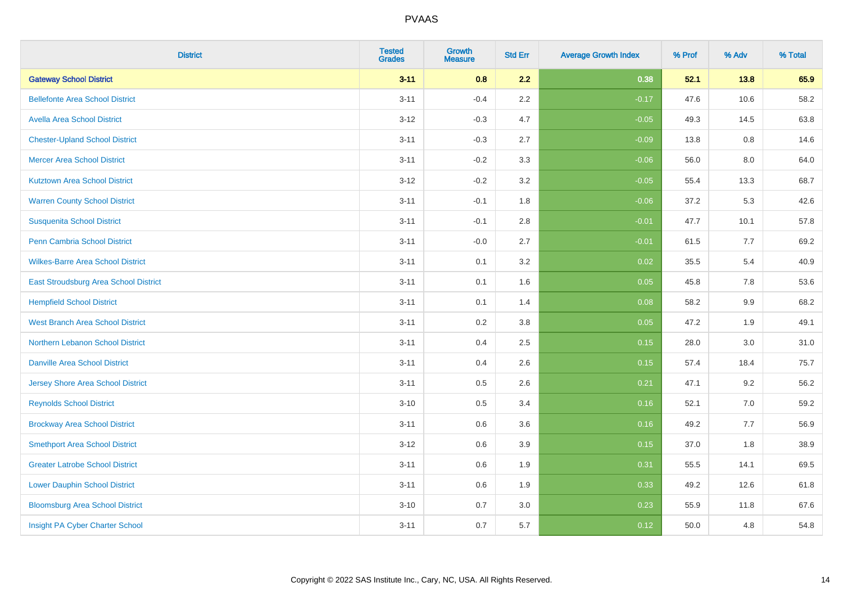| <b>District</b>                          | <b>Tested</b><br><b>Grades</b> | <b>Growth</b><br><b>Measure</b> | <b>Std Err</b> | <b>Average Growth Index</b> | % Prof | % Adv | % Total |
|------------------------------------------|--------------------------------|---------------------------------|----------------|-----------------------------|--------|-------|---------|
| <b>Gateway School District</b>           | $3 - 11$                       | 0.8                             | 2.2            | 0.38                        | 52.1   | 13.8  | 65.9    |
| <b>Bellefonte Area School District</b>   | $3 - 11$                       | $-0.4$                          | 2.2            | $-0.17$                     | 47.6   | 10.6  | 58.2    |
| <b>Avella Area School District</b>       | $3 - 12$                       | $-0.3$                          | 4.7            | $-0.05$                     | 49.3   | 14.5  | 63.8    |
| <b>Chester-Upland School District</b>    | $3 - 11$                       | $-0.3$                          | 2.7            | $-0.09$                     | 13.8   | 0.8   | 14.6    |
| <b>Mercer Area School District</b>       | $3 - 11$                       | $-0.2$                          | 3.3            | $-0.06$                     | 56.0   | 8.0   | 64.0    |
| <b>Kutztown Area School District</b>     | $3 - 12$                       | $-0.2$                          | 3.2            | $-0.05$                     | 55.4   | 13.3  | 68.7    |
| <b>Warren County School District</b>     | $3 - 11$                       | $-0.1$                          | 1.8            | $-0.06$                     | 37.2   | 5.3   | 42.6    |
| <b>Susquenita School District</b>        | $3 - 11$                       | $-0.1$                          | 2.8            | $-0.01$                     | 47.7   | 10.1  | 57.8    |
| Penn Cambria School District             | $3 - 11$                       | $-0.0$                          | 2.7            | $-0.01$                     | 61.5   | 7.7   | 69.2    |
| <b>Wilkes-Barre Area School District</b> | $3 - 11$                       | 0.1                             | 3.2            | 0.02                        | 35.5   | 5.4   | 40.9    |
| East Stroudsburg Area School District    | $3 - 11$                       | 0.1                             | 1.6            | 0.05                        | 45.8   | 7.8   | 53.6    |
| <b>Hempfield School District</b>         | $3 - 11$                       | 0.1                             | 1.4            | 0.08                        | 58.2   | 9.9   | 68.2    |
| <b>West Branch Area School District</b>  | $3 - 11$                       | 0.2                             | $3.8\,$        | 0.05                        | 47.2   | 1.9   | 49.1    |
| Northern Lebanon School District         | $3 - 11$                       | 0.4                             | 2.5            | 0.15                        | 28.0   | 3.0   | 31.0    |
| <b>Danville Area School District</b>     | $3 - 11$                       | 0.4                             | 2.6            | 0.15                        | 57.4   | 18.4  | 75.7    |
| <b>Jersey Shore Area School District</b> | $3 - 11$                       | $0.5\,$                         | 2.6            | 0.21                        | 47.1   | 9.2   | 56.2    |
| <b>Reynolds School District</b>          | $3 - 10$                       | 0.5                             | 3.4            | 0.16                        | 52.1   | 7.0   | 59.2    |
| <b>Brockway Area School District</b>     | $3 - 11$                       | 0.6                             | 3.6            | 0.16                        | 49.2   | 7.7   | 56.9    |
| <b>Smethport Area School District</b>    | $3 - 12$                       | 0.6                             | 3.9            | 0.15                        | 37.0   | 1.8   | 38.9    |
| <b>Greater Latrobe School District</b>   | $3 - 11$                       | 0.6                             | 1.9            | 0.31                        | 55.5   | 14.1  | 69.5    |
| <b>Lower Dauphin School District</b>     | $3 - 11$                       | 0.6                             | 1.9            | 0.33                        | 49.2   | 12.6  | 61.8    |
| <b>Bloomsburg Area School District</b>   | $3 - 10$                       | 0.7                             | 3.0            | 0.23                        | 55.9   | 11.8  | 67.6    |
| Insight PA Cyber Charter School          | $3 - 11$                       | 0.7                             | 5.7            | 0.12                        | 50.0   | 4.8   | 54.8    |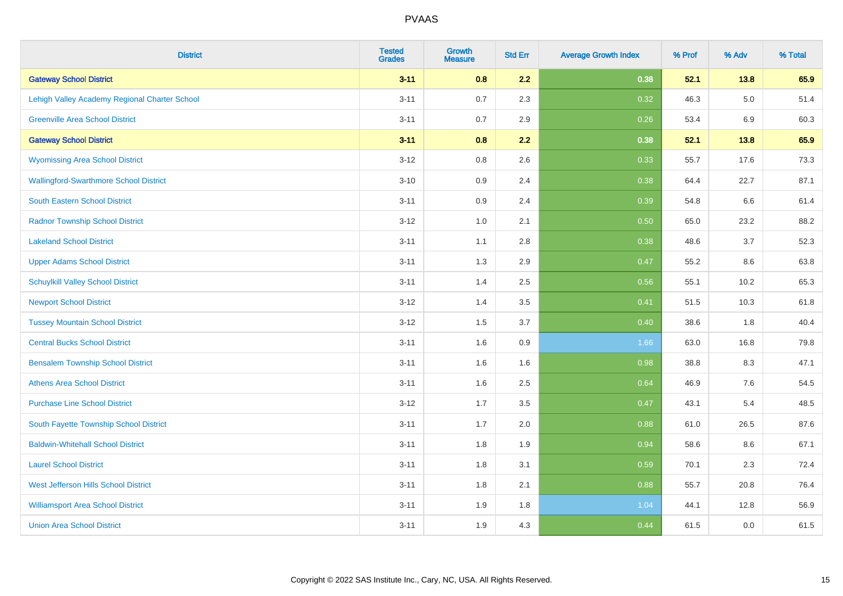| <b>District</b>                               | <b>Tested</b><br><b>Grades</b> | <b>Growth</b><br><b>Measure</b> | <b>Std Err</b> | <b>Average Growth Index</b> | % Prof | % Adv   | % Total |
|-----------------------------------------------|--------------------------------|---------------------------------|----------------|-----------------------------|--------|---------|---------|
| <b>Gateway School District</b>                | $3 - 11$                       | 0.8                             | 2.2            | 0.38                        | 52.1   | 13.8    | 65.9    |
| Lehigh Valley Academy Regional Charter School | $3 - 11$                       | 0.7                             | 2.3            | 0.32                        | 46.3   | $5.0\,$ | 51.4    |
| <b>Greenville Area School District</b>        | $3 - 11$                       | 0.7                             | 2.9            | 0.26                        | 53.4   | 6.9     | 60.3    |
| <b>Gateway School District</b>                | $3 - 11$                       | 0.8                             | 2.2            | 0.38                        | 52.1   | 13.8    | 65.9    |
| <b>Wyomissing Area School District</b>        | $3 - 12$                       | 0.8                             | 2.6            | 0.33                        | 55.7   | 17.6    | 73.3    |
| <b>Wallingford-Swarthmore School District</b> | $3 - 10$                       | 0.9                             | 2.4            | 0.38                        | 64.4   | 22.7    | 87.1    |
| South Eastern School District                 | $3 - 11$                       | 0.9                             | 2.4            | 0.39                        | 54.8   | 6.6     | 61.4    |
| <b>Radnor Township School District</b>        | $3 - 12$                       | 1.0                             | 2.1            | 0.50                        | 65.0   | 23.2    | 88.2    |
| <b>Lakeland School District</b>               | $3 - 11$                       | 1.1                             | 2.8            | 0.38                        | 48.6   | 3.7     | 52.3    |
| <b>Upper Adams School District</b>            | $3 - 11$                       | 1.3                             | 2.9            | 0.47                        | 55.2   | 8.6     | 63.8    |
| <b>Schuylkill Valley School District</b>      | $3 - 11$                       | 1.4                             | 2.5            | 0.56                        | 55.1   | 10.2    | 65.3    |
| <b>Newport School District</b>                | $3 - 12$                       | 1.4                             | 3.5            | 0.41                        | 51.5   | 10.3    | 61.8    |
| <b>Tussey Mountain School District</b>        | $3 - 12$                       | 1.5                             | 3.7            | 0.40                        | 38.6   | 1.8     | 40.4    |
| <b>Central Bucks School District</b>          | $3 - 11$                       | 1.6                             | 0.9            | 1.66                        | 63.0   | 16.8    | 79.8    |
| <b>Bensalem Township School District</b>      | $3 - 11$                       | 1.6                             | 1.6            | 0.98                        | 38.8   | 8.3     | 47.1    |
| <b>Athens Area School District</b>            | $3 - 11$                       | 1.6                             | 2.5            | 0.64                        | 46.9   | $7.6\,$ | 54.5    |
| <b>Purchase Line School District</b>          | $3 - 12$                       | 1.7                             | 3.5            | 0.47                        | 43.1   | 5.4     | 48.5    |
| South Fayette Township School District        | $3 - 11$                       | 1.7                             | 2.0            | 0.88                        | 61.0   | 26.5    | 87.6    |
| <b>Baldwin-Whitehall School District</b>      | $3 - 11$                       | 1.8                             | 1.9            | 0.94                        | 58.6   | 8.6     | 67.1    |
| <b>Laurel School District</b>                 | $3 - 11$                       | 1.8                             | 3.1            | 0.59                        | 70.1   | 2.3     | 72.4    |
| <b>West Jefferson Hills School District</b>   | $3 - 11$                       | 1.8                             | 2.1            | 0.88                        | 55.7   | 20.8    | 76.4    |
| <b>Williamsport Area School District</b>      | $3 - 11$                       | 1.9                             | 1.8            | 1.04                        | 44.1   | 12.8    | 56.9    |
| <b>Union Area School District</b>             | $3 - 11$                       | 1.9                             | 4.3            | 0.44                        | 61.5   | 0.0     | 61.5    |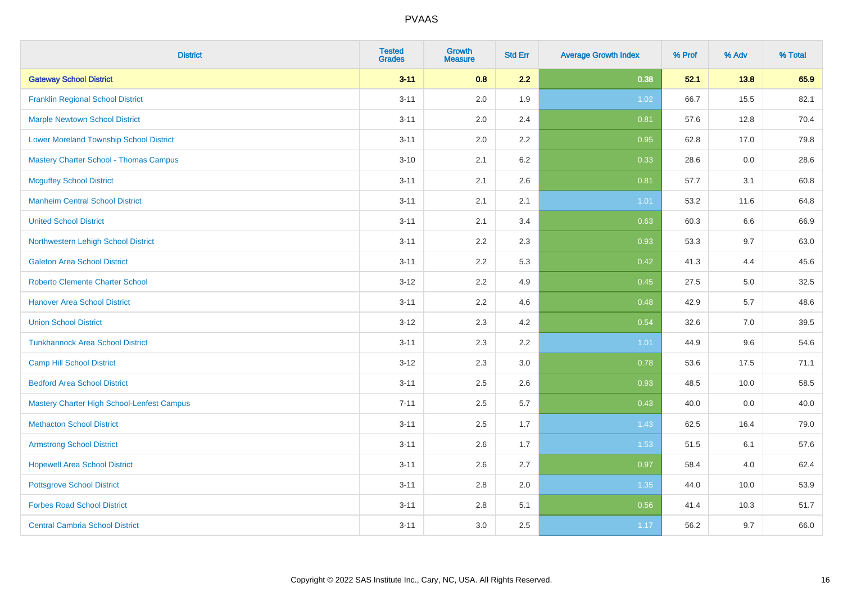| <b>District</b>                                | <b>Tested</b><br><b>Grades</b> | <b>Growth</b><br><b>Measure</b> | <b>Std Err</b> | <b>Average Growth Index</b> | % Prof | % Adv | % Total |
|------------------------------------------------|--------------------------------|---------------------------------|----------------|-----------------------------|--------|-------|---------|
| <b>Gateway School District</b>                 | $3 - 11$                       | 0.8                             | 2.2            | 0.38                        | 52.1   | 13.8  | 65.9    |
| <b>Franklin Regional School District</b>       | $3 - 11$                       | 2.0                             | 1.9            | 1.02                        | 66.7   | 15.5  | 82.1    |
| <b>Marple Newtown School District</b>          | $3 - 11$                       | 2.0                             | 2.4            | 0.81                        | 57.6   | 12.8  | 70.4    |
| <b>Lower Moreland Township School District</b> | $3 - 11$                       | 2.0                             | 2.2            | 0.95                        | 62.8   | 17.0  | 79.8    |
| <b>Mastery Charter School - Thomas Campus</b>  | $3 - 10$                       | 2.1                             | 6.2            | 0.33                        | 28.6   | 0.0   | 28.6    |
| <b>Mcguffey School District</b>                | $3 - 11$                       | 2.1                             | 2.6            | 0.81                        | 57.7   | 3.1   | 60.8    |
| <b>Manheim Central School District</b>         | $3 - 11$                       | 2.1                             | 2.1            | 1.01                        | 53.2   | 11.6  | 64.8    |
| <b>United School District</b>                  | $3 - 11$                       | 2.1                             | 3.4            | 0.63                        | 60.3   | 6.6   | 66.9    |
| Northwestern Lehigh School District            | $3 - 11$                       | 2.2                             | 2.3            | 0.93                        | 53.3   | 9.7   | 63.0    |
| <b>Galeton Area School District</b>            | $3 - 11$                       | 2.2                             | 5.3            | 0.42                        | 41.3   | 4.4   | 45.6    |
| <b>Roberto Clemente Charter School</b>         | $3 - 12$                       | 2.2                             | 4.9            | 0.45                        | 27.5   | 5.0   | 32.5    |
| <b>Hanover Area School District</b>            | $3 - 11$                       | 2.2                             | 4.6            | 0.48                        | 42.9   | 5.7   | 48.6    |
| <b>Union School District</b>                   | $3 - 12$                       | 2.3                             | 4.2            | 0.54                        | 32.6   | 7.0   | 39.5    |
| <b>Tunkhannock Area School District</b>        | $3 - 11$                       | 2.3                             | 2.2            | 1.01                        | 44.9   | 9.6   | 54.6    |
| <b>Camp Hill School District</b>               | $3 - 12$                       | 2.3                             | 3.0            | 0.78                        | 53.6   | 17.5  | 71.1    |
| <b>Bedford Area School District</b>            | $3 - 11$                       | 2.5                             | 2.6            | 0.93                        | 48.5   | 10.0  | 58.5    |
| Mastery Charter High School-Lenfest Campus     | $7 - 11$                       | 2.5                             | 5.7            | 0.43                        | 40.0   | 0.0   | 40.0    |
| <b>Methacton School District</b>               | $3 - 11$                       | 2.5                             | 1.7            | 1.43                        | 62.5   | 16.4  | 79.0    |
| <b>Armstrong School District</b>               | $3 - 11$                       | 2.6                             | 1.7            | 1.53                        | 51.5   | 6.1   | 57.6    |
| <b>Hopewell Area School District</b>           | $3 - 11$                       | 2.6                             | 2.7            | 0.97                        | 58.4   | 4.0   | 62.4    |
| <b>Pottsgrove School District</b>              | $3 - 11$                       | 2.8                             | 2.0            | 1.35                        | 44.0   | 10.0  | 53.9    |
| <b>Forbes Road School District</b>             | $3 - 11$                       | 2.8                             | 5.1            | 0.56                        | 41.4   | 10.3  | 51.7    |
| <b>Central Cambria School District</b>         | $3 - 11$                       | 3.0                             | 2.5            | 1.17                        | 56.2   | 9.7   | 66.0    |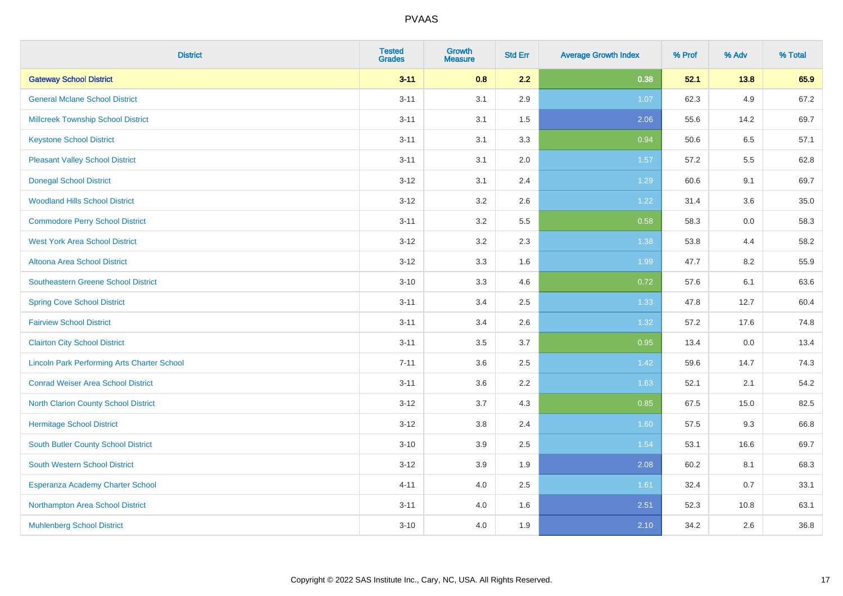| <b>District</b>                                    | <b>Tested</b><br><b>Grades</b> | <b>Growth</b><br><b>Measure</b> | <b>Std Err</b> | <b>Average Growth Index</b> | % Prof | % Adv | % Total |
|----------------------------------------------------|--------------------------------|---------------------------------|----------------|-----------------------------|--------|-------|---------|
| <b>Gateway School District</b>                     | $3 - 11$                       | 0.8                             | 2.2            | 0.38                        | 52.1   | 13.8  | 65.9    |
| <b>General Mclane School District</b>              | $3 - 11$                       | 3.1                             | 2.9            | 1.07                        | 62.3   | 4.9   | 67.2    |
| <b>Millcreek Township School District</b>          | $3 - 11$                       | 3.1                             | 1.5            | 2.06                        | 55.6   | 14.2  | 69.7    |
| <b>Keystone School District</b>                    | $3 - 11$                       | 3.1                             | 3.3            | 0.94                        | 50.6   | 6.5   | 57.1    |
| <b>Pleasant Valley School District</b>             | $3 - 11$                       | 3.1                             | 2.0            | 1.57                        | 57.2   | 5.5   | 62.8    |
| <b>Donegal School District</b>                     | $3 - 12$                       | 3.1                             | 2.4            | 1.29                        | 60.6   | 9.1   | 69.7    |
| <b>Woodland Hills School District</b>              | $3 - 12$                       | 3.2                             | 2.6            | 1.22                        | 31.4   | 3.6   | 35.0    |
| <b>Commodore Perry School District</b>             | $3 - 11$                       | 3.2                             | 5.5            | 0.58                        | 58.3   | 0.0   | 58.3    |
| <b>West York Area School District</b>              | $3 - 12$                       | 3.2                             | 2.3            | 1.38                        | 53.8   | 4.4   | 58.2    |
| Altoona Area School District                       | $3 - 12$                       | 3.3                             | 1.6            | 1.99                        | 47.7   | 8.2   | 55.9    |
| <b>Southeastern Greene School District</b>         | $3 - 10$                       | 3.3                             | 4.6            | 0.72                        | 57.6   | 6.1   | 63.6    |
| <b>Spring Cove School District</b>                 | $3 - 11$                       | 3.4                             | 2.5            | 1.33                        | 47.8   | 12.7  | 60.4    |
| <b>Fairview School District</b>                    | $3 - 11$                       | 3.4                             | 2.6            | 1.32                        | 57.2   | 17.6  | 74.8    |
| <b>Clairton City School District</b>               | $3 - 11$                       | 3.5                             | 3.7            | 0.95                        | 13.4   | 0.0   | 13.4    |
| <b>Lincoln Park Performing Arts Charter School</b> | $7 - 11$                       | 3.6                             | 2.5            | 1.42                        | 59.6   | 14.7  | 74.3    |
| <b>Conrad Weiser Area School District</b>          | $3 - 11$                       | 3.6                             | 2.2            | 1.63                        | 52.1   | 2.1   | 54.2    |
| <b>North Clarion County School District</b>        | $3 - 12$                       | 3.7                             | 4.3            | 0.85                        | 67.5   | 15.0  | 82.5    |
| <b>Hermitage School District</b>                   | $3 - 12$                       | 3.8                             | 2.4            | 1.60                        | 57.5   | 9.3   | 66.8    |
| <b>South Butler County School District</b>         | $3 - 10$                       | 3.9                             | 2.5            | 1.54                        | 53.1   | 16.6  | 69.7    |
| South Western School District                      | $3-12$                         | 3.9                             | 1.9            | 2.08                        | 60.2   | 8.1   | 68.3    |
| Esperanza Academy Charter School                   | $4 - 11$                       | 4.0                             | 2.5            | 1.61                        | 32.4   | 0.7   | 33.1    |
| Northampton Area School District                   | $3 - 11$                       | 4.0                             | 1.6            | 2.51                        | 52.3   | 10.8  | 63.1    |
| <b>Muhlenberg School District</b>                  | $3 - 10$                       | 4.0                             | 1.9            | 2.10                        | 34.2   | 2.6   | 36.8    |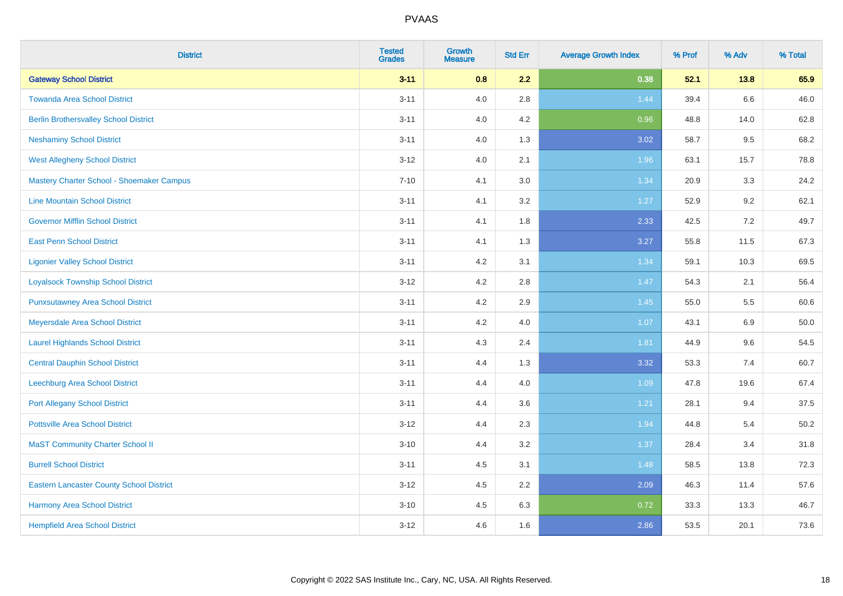| <b>District</b>                                 | <b>Tested</b><br><b>Grades</b> | <b>Growth</b><br><b>Measure</b> | <b>Std Err</b> | <b>Average Growth Index</b> | % Prof | % Adv | % Total |
|-------------------------------------------------|--------------------------------|---------------------------------|----------------|-----------------------------|--------|-------|---------|
| <b>Gateway School District</b>                  | $3 - 11$                       | 0.8                             | 2.2            | 0.38                        | 52.1   | 13.8  | 65.9    |
| <b>Towanda Area School District</b>             | $3 - 11$                       | 4.0                             | 2.8            | 1.44                        | 39.4   | 6.6   | 46.0    |
| <b>Berlin Brothersvalley School District</b>    | $3 - 11$                       | 4.0                             | 4.2            | 0.96                        | 48.8   | 14.0  | 62.8    |
| <b>Neshaminy School District</b>                | $3 - 11$                       | 4.0                             | 1.3            | 3.02                        | 58.7   | 9.5   | 68.2    |
| <b>West Allegheny School District</b>           | $3 - 12$                       | 4.0                             | 2.1            | 1.96                        | 63.1   | 15.7  | 78.8    |
| Mastery Charter School - Shoemaker Campus       | $7 - 10$                       | 4.1                             | 3.0            | 1.34                        | 20.9   | 3.3   | 24.2    |
| <b>Line Mountain School District</b>            | $3 - 11$                       | 4.1                             | 3.2            | 1.27                        | 52.9   | 9.2   | 62.1    |
| <b>Governor Mifflin School District</b>         | $3 - 11$                       | 4.1                             | 1.8            | 2.33                        | 42.5   | 7.2   | 49.7    |
| <b>East Penn School District</b>                | $3 - 11$                       | 4.1                             | 1.3            | 3.27                        | 55.8   | 11.5  | 67.3    |
| <b>Ligonier Valley School District</b>          | $3 - 11$                       | 4.2                             | 3.1            | 1.34                        | 59.1   | 10.3  | 69.5    |
| <b>Loyalsock Township School District</b>       | $3 - 12$                       | 4.2                             | 2.8            | 1.47                        | 54.3   | 2.1   | 56.4    |
| <b>Punxsutawney Area School District</b>        | $3 - 11$                       | 4.2                             | 2.9            | 1.45                        | 55.0   | 5.5   | 60.6    |
| Meyersdale Area School District                 | $3 - 11$                       | 4.2                             | 4.0            | 1.07                        | 43.1   | 6.9   | 50.0    |
| <b>Laurel Highlands School District</b>         | $3 - 11$                       | 4.3                             | 2.4            | 1.81                        | 44.9   | 9.6   | 54.5    |
| <b>Central Dauphin School District</b>          | $3 - 11$                       | 4.4                             | 1.3            | 3.32                        | 53.3   | 7.4   | 60.7    |
| Leechburg Area School District                  | $3 - 11$                       | 4.4                             | 4.0            | 1.09                        | 47.8   | 19.6  | 67.4    |
| <b>Port Allegany School District</b>            | $3 - 11$                       | 4.4                             | 3.6            | 1.21                        | 28.1   | 9.4   | 37.5    |
| <b>Pottsville Area School District</b>          | $3 - 12$                       | 4.4                             | 2.3            | 1.94                        | 44.8   | 5.4   | 50.2    |
| <b>MaST Community Charter School II</b>         | $3 - 10$                       | 4.4                             | 3.2            | 1.37                        | 28.4   | 3.4   | 31.8    |
| <b>Burrell School District</b>                  | $3 - 11$                       | 4.5                             | 3.1            | 1.48                        | 58.5   | 13.8  | 72.3    |
| <b>Eastern Lancaster County School District</b> | $3-12$                         | 4.5                             | 2.2            | 2.09                        | 46.3   | 11.4  | 57.6    |
| <b>Harmony Area School District</b>             | $3 - 10$                       | 4.5                             | 6.3            | 0.72                        | 33.3   | 13.3  | 46.7    |
| <b>Hempfield Area School District</b>           | $3 - 12$                       | 4.6                             | 1.6            | 2.86                        | 53.5   | 20.1  | 73.6    |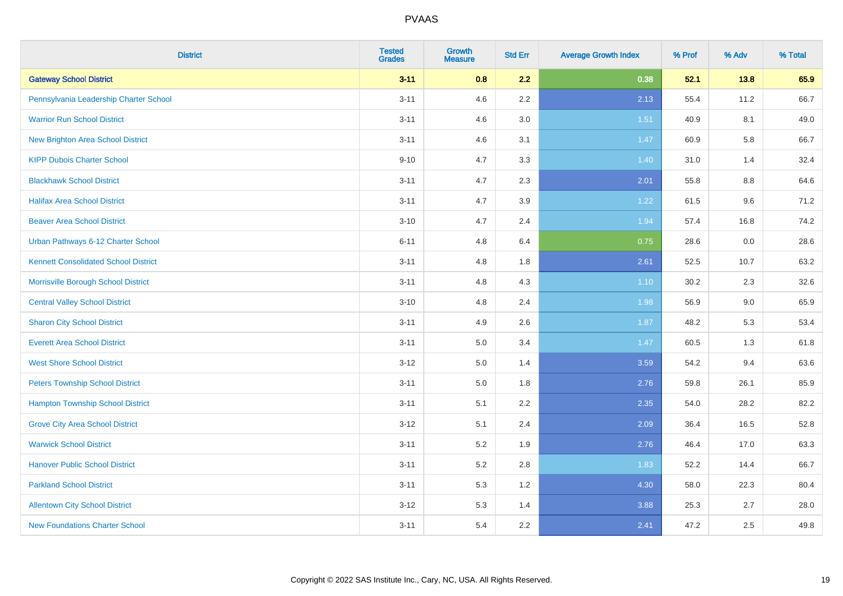| <b>District</b>                             | <b>Tested</b><br><b>Grades</b> | <b>Growth</b><br><b>Measure</b> | <b>Std Err</b> | <b>Average Growth Index</b> | % Prof | % Adv | % Total |
|---------------------------------------------|--------------------------------|---------------------------------|----------------|-----------------------------|--------|-------|---------|
| <b>Gateway School District</b>              | $3 - 11$                       | 0.8                             | 2.2            | 0.38                        | 52.1   | 13.8  | 65.9    |
| Pennsylvania Leadership Charter School      | $3 - 11$                       | 4.6                             | $2.2\,$        | 2.13                        | 55.4   | 11.2  | 66.7    |
| <b>Warrior Run School District</b>          | $3 - 11$                       | 4.6                             | 3.0            | 1.51                        | 40.9   | 8.1   | 49.0    |
| <b>New Brighton Area School District</b>    | $3 - 11$                       | 4.6                             | 3.1            | 1.47                        | 60.9   | 5.8   | 66.7    |
| <b>KIPP Dubois Charter School</b>           | $9 - 10$                       | 4.7                             | 3.3            | 1.40                        | 31.0   | 1.4   | 32.4    |
| <b>Blackhawk School District</b>            | $3 - 11$                       | 4.7                             | 2.3            | 2.01                        | 55.8   | 8.8   | 64.6    |
| <b>Halifax Area School District</b>         | $3 - 11$                       | 4.7                             | 3.9            | 1.22                        | 61.5   | 9.6   | 71.2    |
| <b>Beaver Area School District</b>          | $3 - 10$                       | 4.7                             | 2.4            | 1.94                        | 57.4   | 16.8  | 74.2    |
| Urban Pathways 6-12 Charter School          | $6 - 11$                       | 4.8                             | 6.4            | 0.75                        | 28.6   | 0.0   | 28.6    |
| <b>Kennett Consolidated School District</b> | $3 - 11$                       | 4.8                             | 1.8            | 2.61                        | 52.5   | 10.7  | 63.2    |
| Morrisville Borough School District         | $3 - 11$                       | 4.8                             | 4.3            | $1.10$                      | 30.2   | 2.3   | 32.6    |
| <b>Central Valley School District</b>       | $3 - 10$                       | 4.8                             | 2.4            | 1.98                        | 56.9   | 9.0   | 65.9    |
| <b>Sharon City School District</b>          | $3 - 11$                       | 4.9                             | 2.6            | 1.87                        | 48.2   | 5.3   | 53.4    |
| <b>Everett Area School District</b>         | $3 - 11$                       | $5.0\,$                         | 3.4            | 1.47                        | 60.5   | 1.3   | 61.8    |
| <b>West Shore School District</b>           | $3 - 12$                       | 5.0                             | 1.4            | 3.59                        | 54.2   | 9.4   | 63.6    |
| <b>Peters Township School District</b>      | $3 - 11$                       | 5.0                             | 1.8            | 2.76                        | 59.8   | 26.1  | 85.9    |
| <b>Hampton Township School District</b>     | $3 - 11$                       | 5.1                             | 2.2            | 2.35                        | 54.0   | 28.2  | 82.2    |
| <b>Grove City Area School District</b>      | $3 - 12$                       | 5.1                             | 2.4            | 2.09                        | 36.4   | 16.5  | 52.8    |
| <b>Warwick School District</b>              | $3 - 11$                       | 5.2                             | 1.9            | 2.76                        | 46.4   | 17.0  | 63.3    |
| <b>Hanover Public School District</b>       | $3 - 11$                       | 5.2                             | 2.8            | 1.83                        | 52.2   | 14.4  | 66.7    |
| <b>Parkland School District</b>             | $3 - 11$                       | 5.3                             | 1.2            | 4.30                        | 58.0   | 22.3  | 80.4    |
| <b>Allentown City School District</b>       | $3 - 12$                       | 5.3                             | 1.4            | 3.88                        | 25.3   | 2.7   | 28.0    |
| <b>New Foundations Charter School</b>       | $3 - 11$                       | 5.4                             | 2.2            | 2.41                        | 47.2   | 2.5   | 49.8    |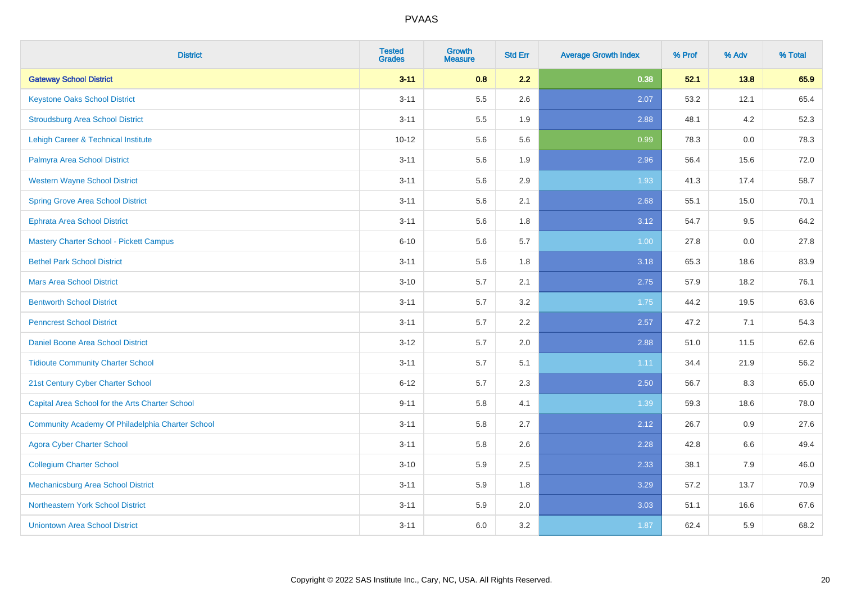| <b>District</b>                                  | <b>Tested</b><br><b>Grades</b> | <b>Growth</b><br><b>Measure</b> | <b>Std Err</b> | <b>Average Growth Index</b> | % Prof | % Adv | % Total |
|--------------------------------------------------|--------------------------------|---------------------------------|----------------|-----------------------------|--------|-------|---------|
| <b>Gateway School District</b>                   | $3 - 11$                       | 0.8                             | 2.2            | 0.38                        | 52.1   | 13.8  | 65.9    |
| <b>Keystone Oaks School District</b>             | $3 - 11$                       | 5.5                             | 2.6            | 2.07                        | 53.2   | 12.1  | 65.4    |
| <b>Stroudsburg Area School District</b>          | $3 - 11$                       | $5.5\,$                         | 1.9            | 2.88                        | 48.1   | 4.2   | 52.3    |
| <b>Lehigh Career &amp; Technical Institute</b>   | $10 - 12$                      | 5.6                             | 5.6            | 0.99                        | 78.3   | 0.0   | 78.3    |
| Palmyra Area School District                     | $3 - 11$                       | 5.6                             | 1.9            | 2.96                        | 56.4   | 15.6  | 72.0    |
| <b>Western Wayne School District</b>             | $3 - 11$                       | 5.6                             | 2.9            | 1.93                        | 41.3   | 17.4  | 58.7    |
| <b>Spring Grove Area School District</b>         | $3 - 11$                       | 5.6                             | 2.1            | 2.68                        | 55.1   | 15.0  | 70.1    |
| <b>Ephrata Area School District</b>              | $3 - 11$                       | 5.6                             | 1.8            | 3.12                        | 54.7   | 9.5   | 64.2    |
| Mastery Charter School - Pickett Campus          | $6 - 10$                       | 5.6                             | 5.7            | 1.00                        | 27.8   | 0.0   | 27.8    |
| <b>Bethel Park School District</b>               | $3 - 11$                       | 5.6                             | 1.8            | 3.18                        | 65.3   | 18.6  | 83.9    |
| <b>Mars Area School District</b>                 | $3 - 10$                       | 5.7                             | 2.1            | 2.75                        | 57.9   | 18.2  | 76.1    |
| <b>Bentworth School District</b>                 | $3 - 11$                       | 5.7                             | 3.2            | 1.75                        | 44.2   | 19.5  | 63.6    |
| <b>Penncrest School District</b>                 | $3 - 11$                       | 5.7                             | 2.2            | 2.57                        | 47.2   | 7.1   | 54.3    |
| Daniel Boone Area School District                | $3 - 12$                       | 5.7                             | 2.0            | 2.88                        | 51.0   | 11.5  | 62.6    |
| <b>Tidioute Community Charter School</b>         | $3 - 11$                       | 5.7                             | 5.1            | 1.11                        | 34.4   | 21.9  | 56.2    |
| 21st Century Cyber Charter School                | $6 - 12$                       | 5.7                             | 2.3            | 2.50                        | 56.7   | 8.3   | 65.0    |
| Capital Area School for the Arts Charter School  | $9 - 11$                       | 5.8                             | 4.1            | 1.39                        | 59.3   | 18.6  | 78.0    |
| Community Academy Of Philadelphia Charter School | $3 - 11$                       | 5.8                             | 2.7            | 2.12                        | 26.7   | 0.9   | 27.6    |
| <b>Agora Cyber Charter School</b>                | $3 - 11$                       | 5.8                             | 2.6            | 2.28                        | 42.8   | 6.6   | 49.4    |
| <b>Collegium Charter School</b>                  | $3 - 10$                       | 5.9                             | 2.5            | 2.33                        | 38.1   | 7.9   | 46.0    |
| Mechanicsburg Area School District               | $3 - 11$                       | 5.9                             | 1.8            | 3.29                        | 57.2   | 13.7  | 70.9    |
| Northeastern York School District                | $3 - 11$                       | 5.9                             | 2.0            | 3.03                        | 51.1   | 16.6  | 67.6    |
| <b>Uniontown Area School District</b>            | $3 - 11$                       | 6.0                             | 3.2            | 1.87                        | 62.4   | 5.9   | 68.2    |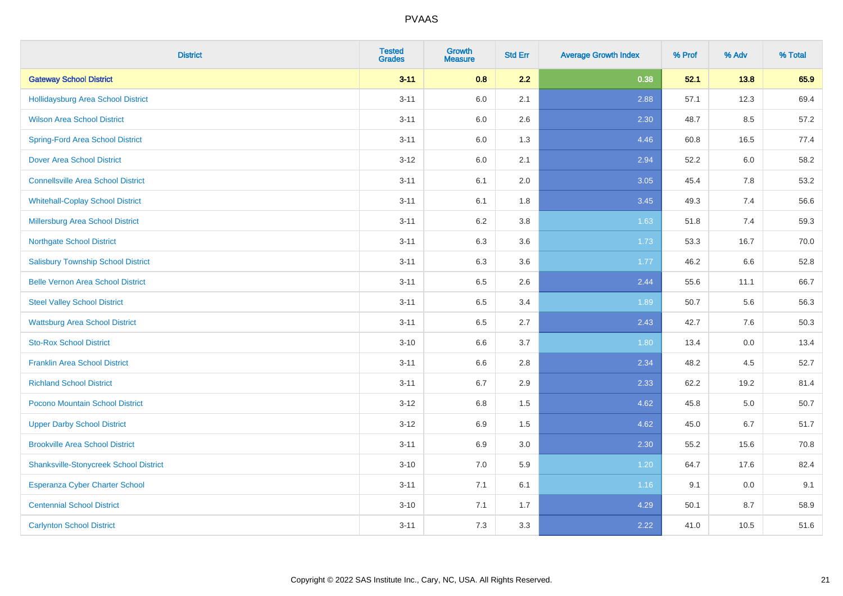| <b>District</b>                               | <b>Tested</b><br><b>Grades</b> | <b>Growth</b><br><b>Measure</b> | <b>Std Err</b> | <b>Average Growth Index</b> | % Prof | % Adv | % Total |
|-----------------------------------------------|--------------------------------|---------------------------------|----------------|-----------------------------|--------|-------|---------|
| <b>Gateway School District</b>                | $3 - 11$                       | 0.8                             | 2.2            | 0.38                        | 52.1   | 13.8  | 65.9    |
| Hollidaysburg Area School District            | $3 - 11$                       | 6.0                             | 2.1            | 2.88                        | 57.1   | 12.3  | 69.4    |
| <b>Wilson Area School District</b>            | $3 - 11$                       | 6.0                             | 2.6            | 2.30                        | 48.7   | 8.5   | 57.2    |
| <b>Spring-Ford Area School District</b>       | $3 - 11$                       | $6.0\,$                         | 1.3            | 4.46                        | 60.8   | 16.5  | 77.4    |
| <b>Dover Area School District</b>             | $3-12$                         | 6.0                             | 2.1            | 2.94                        | 52.2   | 6.0   | 58.2    |
| <b>Connellsville Area School District</b>     | $3 - 11$                       | 6.1                             | 2.0            | 3.05                        | 45.4   | 7.8   | 53.2    |
| <b>Whitehall-Coplay School District</b>       | $3 - 11$                       | 6.1                             | 1.8            | 3.45                        | 49.3   | 7.4   | 56.6    |
| <b>Millersburg Area School District</b>       | $3 - 11$                       | 6.2                             | 3.8            | 1.63                        | 51.8   | 7.4   | 59.3    |
| <b>Northgate School District</b>              | $3 - 11$                       | 6.3                             | 3.6            | 1.73                        | 53.3   | 16.7  | 70.0    |
| <b>Salisbury Township School District</b>     | $3 - 11$                       | 6.3                             | 3.6            | 1.77                        | 46.2   | 6.6   | 52.8    |
| <b>Belle Vernon Area School District</b>      | $3 - 11$                       | 6.5                             | 2.6            | 2.44                        | 55.6   | 11.1  | 66.7    |
| <b>Steel Valley School District</b>           | $3 - 11$                       | 6.5                             | 3.4            | 1.89                        | 50.7   | 5.6   | 56.3    |
| <b>Wattsburg Area School District</b>         | $3 - 11$                       | 6.5                             | 2.7            | 2.43                        | 42.7   | 7.6   | 50.3    |
| <b>Sto-Rox School District</b>                | $3 - 10$                       | 6.6                             | 3.7            | 1.80                        | 13.4   | 0.0   | 13.4    |
| <b>Franklin Area School District</b>          | $3 - 11$                       | 6.6                             | 2.8            | 2.34                        | 48.2   | 4.5   | 52.7    |
| <b>Richland School District</b>               | $3 - 11$                       | 6.7                             | 2.9            | 2.33                        | 62.2   | 19.2  | 81.4    |
| Pocono Mountain School District               | $3 - 12$                       | 6.8                             | 1.5            | 4.62                        | 45.8   | 5.0   | 50.7    |
| <b>Upper Darby School District</b>            | $3-12$                         | 6.9                             | 1.5            | 4.62                        | 45.0   | 6.7   | 51.7    |
| <b>Brookville Area School District</b>        | $3 - 11$                       | 6.9                             | 3.0            | 2.30                        | 55.2   | 15.6  | 70.8    |
| <b>Shanksville-Stonycreek School District</b> | $3 - 10$                       | 7.0                             | 5.9            | 1.20                        | 64.7   | 17.6  | 82.4    |
| <b>Esperanza Cyber Charter School</b>         | $3 - 11$                       | 7.1                             | 6.1            | 1.16                        | 9.1    | 0.0   | 9.1     |
| <b>Centennial School District</b>             | $3 - 10$                       | 7.1                             | 1.7            | 4.29                        | 50.1   | 8.7   | 58.9    |
| <b>Carlynton School District</b>              | $3 - 11$                       | 7.3                             | 3.3            | 2.22                        | 41.0   | 10.5  | 51.6    |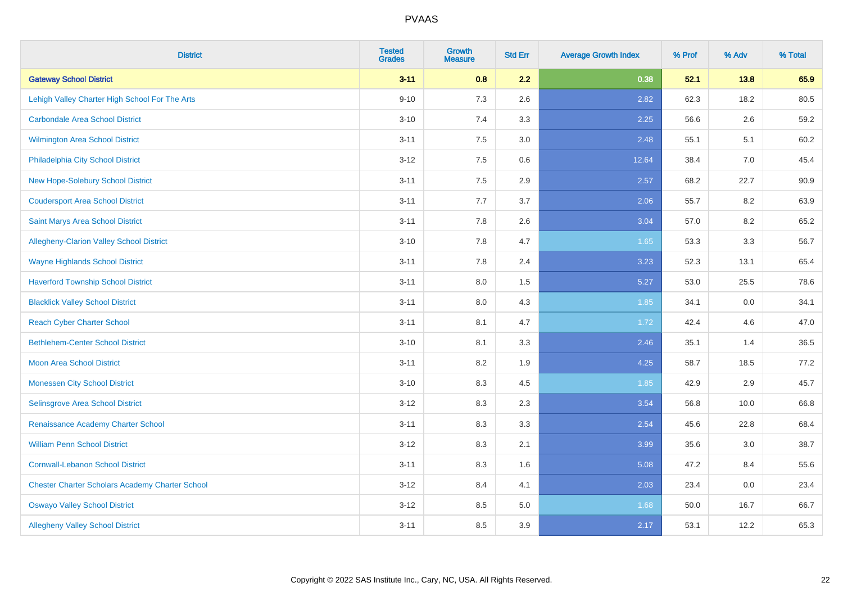| <b>District</b>                                        | <b>Tested</b><br><b>Grades</b> | <b>Growth</b><br><b>Measure</b> | <b>Std Err</b> | <b>Average Growth Index</b> | % Prof | % Adv | % Total |
|--------------------------------------------------------|--------------------------------|---------------------------------|----------------|-----------------------------|--------|-------|---------|
| <b>Gateway School District</b>                         | $3 - 11$                       | 0.8                             | 2.2            | 0.38                        | 52.1   | 13.8  | 65.9    |
| Lehigh Valley Charter High School For The Arts         | $9 - 10$                       | 7.3                             | 2.6            | 2.82                        | 62.3   | 18.2  | 80.5    |
| <b>Carbondale Area School District</b>                 | $3 - 10$                       | 7.4                             | 3.3            | 2.25                        | 56.6   | 2.6   | 59.2    |
| Wilmington Area School District                        | $3 - 11$                       | $7.5\,$                         | 3.0            | 2.48                        | 55.1   | 5.1   | 60.2    |
| Philadelphia City School District                      | $3-12$                         | 7.5                             | 0.6            | 12.64                       | 38.4   | 7.0   | 45.4    |
| <b>New Hope-Solebury School District</b>               | $3 - 11$                       | 7.5                             | 2.9            | 2.57                        | 68.2   | 22.7  | 90.9    |
| <b>Coudersport Area School District</b>                | $3 - 11$                       | 7.7                             | 3.7            | 2.06                        | 55.7   | 8.2   | 63.9    |
| Saint Marys Area School District                       | $3 - 11$                       | 7.8                             | 2.6            | 3.04                        | 57.0   | 8.2   | 65.2    |
| <b>Allegheny-Clarion Valley School District</b>        | $3 - 10$                       | 7.8                             | 4.7            | 1.65                        | 53.3   | 3.3   | 56.7    |
| <b>Wayne Highlands School District</b>                 | $3 - 11$                       | 7.8                             | 2.4            | 3.23                        | 52.3   | 13.1  | 65.4    |
| <b>Haverford Township School District</b>              | $3 - 11$                       | $8.0\,$                         | 1.5            | 5.27                        | 53.0   | 25.5  | 78.6    |
| <b>Blacklick Valley School District</b>                | $3 - 11$                       | 8.0                             | 4.3            | 1.85                        | 34.1   | 0.0   | 34.1    |
| <b>Reach Cyber Charter School</b>                      | $3 - 11$                       | 8.1                             | 4.7            | 1.72                        | 42.4   | 4.6   | 47.0    |
| <b>Bethlehem-Center School District</b>                | $3 - 10$                       | 8.1                             | 3.3            | 2.46                        | 35.1   | 1.4   | 36.5    |
| <b>Moon Area School District</b>                       | $3 - 11$                       | 8.2                             | 1.9            | 4.25                        | 58.7   | 18.5  | 77.2    |
| <b>Monessen City School District</b>                   | $3 - 10$                       | 8.3                             | 4.5            | 1.85                        | 42.9   | 2.9   | 45.7    |
| <b>Selinsgrove Area School District</b>                | $3 - 12$                       | 8.3                             | 2.3            | 3.54                        | 56.8   | 10.0  | 66.8    |
| Renaissance Academy Charter School                     | $3 - 11$                       | 8.3                             | 3.3            | 2.54                        | 45.6   | 22.8  | 68.4    |
| <b>William Penn School District</b>                    | $3 - 12$                       | 8.3                             | 2.1            | 3.99                        | 35.6   | 3.0   | 38.7    |
| <b>Cornwall-Lebanon School District</b>                | $3 - 11$                       | 8.3                             | 1.6            | 5.08                        | 47.2   | 8.4   | 55.6    |
| <b>Chester Charter Scholars Academy Charter School</b> | $3 - 12$                       | 8.4                             | 4.1            | 2.03                        | 23.4   | 0.0   | 23.4    |
| <b>Oswayo Valley School District</b>                   | $3 - 12$                       | 8.5                             | 5.0            | 1.68                        | 50.0   | 16.7  | 66.7    |
| <b>Allegheny Valley School District</b>                | $3 - 11$                       | 8.5                             | 3.9            | 2.17                        | 53.1   | 12.2  | 65.3    |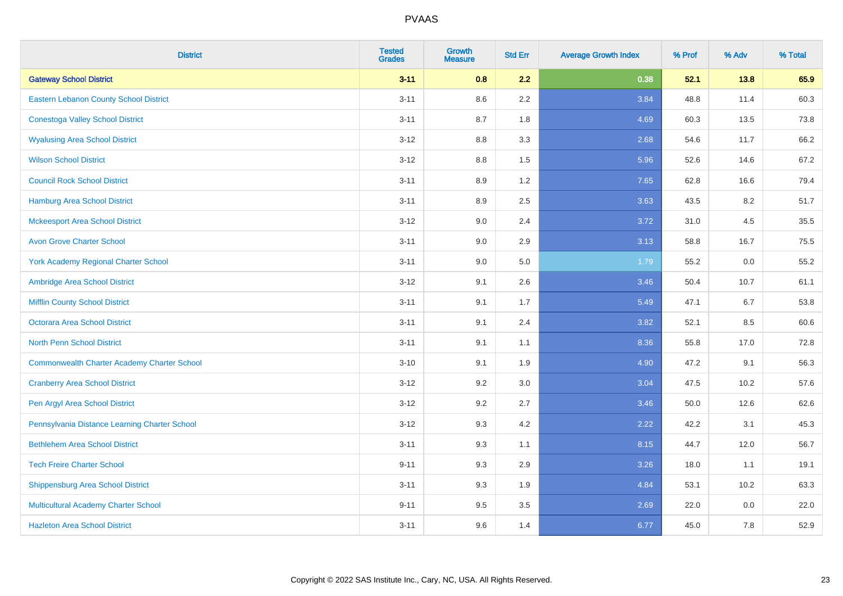| <b>District</b>                                    | <b>Tested</b><br><b>Grades</b> | <b>Growth</b><br><b>Measure</b> | <b>Std Err</b> | <b>Average Growth Index</b> | % Prof | % Adv | % Total |
|----------------------------------------------------|--------------------------------|---------------------------------|----------------|-----------------------------|--------|-------|---------|
| <b>Gateway School District</b>                     | $3 - 11$                       | 0.8                             | 2.2            | 0.38                        | 52.1   | 13.8  | 65.9    |
| <b>Eastern Lebanon County School District</b>      | $3 - 11$                       | 8.6                             | 2.2            | 3.84                        | 48.8   | 11.4  | 60.3    |
| <b>Conestoga Valley School District</b>            | $3 - 11$                       | 8.7                             | 1.8            | 4.69                        | 60.3   | 13.5  | 73.8    |
| <b>Wyalusing Area School District</b>              | $3 - 12$                       | $8.8\,$                         | 3.3            | 2.68                        | 54.6   | 11.7  | 66.2    |
| <b>Wilson School District</b>                      | $3 - 12$                       | 8.8                             | 1.5            | 5.96                        | 52.6   | 14.6  | 67.2    |
| <b>Council Rock School District</b>                | $3 - 11$                       | 8.9                             | 1.2            | 7.65                        | 62.8   | 16.6  | 79.4    |
| Hamburg Area School District                       | $3 - 11$                       | 8.9                             | 2.5            | 3.63                        | 43.5   | 8.2   | 51.7    |
| <b>Mckeesport Area School District</b>             | $3 - 12$                       | 9.0                             | 2.4            | 3.72                        | 31.0   | 4.5   | 35.5    |
| <b>Avon Grove Charter School</b>                   | $3 - 11$                       | 9.0                             | 2.9            | 3.13                        | 58.8   | 16.7  | 75.5    |
| <b>York Academy Regional Charter School</b>        | $3 - 11$                       | 9.0                             | 5.0            | 1.79                        | 55.2   | 0.0   | 55.2    |
| Ambridge Area School District                      | $3-12$                         | 9.1                             | 2.6            | 3.46                        | 50.4   | 10.7  | 61.1    |
| <b>Mifflin County School District</b>              | $3 - 11$                       | 9.1                             | 1.7            | 5.49                        | 47.1   | 6.7   | 53.8    |
| Octorara Area School District                      | $3 - 11$                       | 9.1                             | 2.4            | 3.82                        | 52.1   | 8.5   | 60.6    |
| <b>North Penn School District</b>                  | $3 - 11$                       | 9.1                             | 1.1            | 8.36                        | 55.8   | 17.0  | 72.8    |
| <b>Commonwealth Charter Academy Charter School</b> | $3 - 10$                       | 9.1                             | 1.9            | 4.90                        | 47.2   | 9.1   | 56.3    |
| <b>Cranberry Area School District</b>              | $3 - 12$                       | 9.2                             | 3.0            | 3.04                        | 47.5   | 10.2  | 57.6    |
| Pen Argyl Area School District                     | $3-12$                         | 9.2                             | 2.7            | 3.46                        | 50.0   | 12.6  | 62.6    |
| Pennsylvania Distance Learning Charter School      | $3 - 12$                       | 9.3                             | 4.2            | 2.22                        | 42.2   | 3.1   | 45.3    |
| <b>Bethlehem Area School District</b>              | $3 - 11$                       | 9.3                             | 1.1            | 8.15                        | 44.7   | 12.0  | 56.7    |
| <b>Tech Freire Charter School</b>                  | $9 - 11$                       | 9.3                             | 2.9            | 3.26                        | 18.0   | 1.1   | 19.1    |
| <b>Shippensburg Area School District</b>           | $3 - 11$                       | 9.3                             | 1.9            | 4.84                        | 53.1   | 10.2  | 63.3    |
| Multicultural Academy Charter School               | $9 - 11$                       | 9.5                             | 3.5            | 2.69                        | 22.0   | 0.0   | 22.0    |
| <b>Hazleton Area School District</b>               | $3 - 11$                       | 9.6                             | 1.4            | 6.77                        | 45.0   | 7.8   | 52.9    |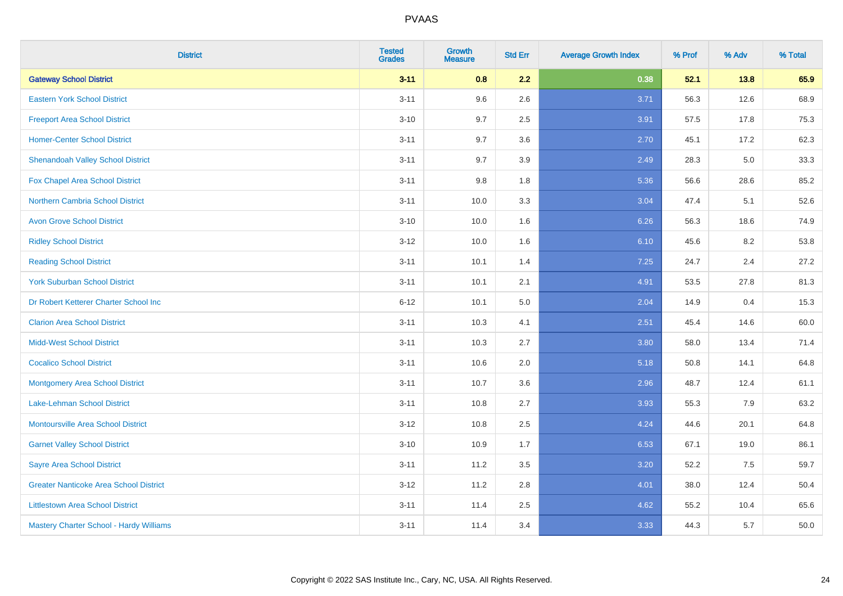| <b>District</b>                               | <b>Tested</b><br><b>Grades</b> | <b>Growth</b><br><b>Measure</b> | <b>Std Err</b> | <b>Average Growth Index</b> | % Prof | % Adv | % Total |
|-----------------------------------------------|--------------------------------|---------------------------------|----------------|-----------------------------|--------|-------|---------|
| <b>Gateway School District</b>                | $3 - 11$                       | 0.8                             | 2.2            | 0.38                        | 52.1   | 13.8  | 65.9    |
| <b>Eastern York School District</b>           | $3 - 11$                       | 9.6                             | 2.6            | 3.71                        | 56.3   | 12.6  | 68.9    |
| <b>Freeport Area School District</b>          | $3 - 10$                       | 9.7                             | 2.5            | 3.91                        | 57.5   | 17.8  | 75.3    |
| <b>Homer-Center School District</b>           | $3 - 11$                       | 9.7                             | 3.6            | 2.70                        | 45.1   | 17.2  | 62.3    |
| <b>Shenandoah Valley School District</b>      | $3 - 11$                       | 9.7                             | 3.9            | 2.49                        | 28.3   | 5.0   | 33.3    |
| Fox Chapel Area School District               | $3 - 11$                       | $9.8\,$                         | 1.8            | 5.36                        | 56.6   | 28.6  | 85.2    |
| Northern Cambria School District              | $3 - 11$                       | 10.0                            | 3.3            | 3.04                        | 47.4   | 5.1   | 52.6    |
| <b>Avon Grove School District</b>             | $3 - 10$                       | 10.0                            | 1.6            | 6.26                        | 56.3   | 18.6  | 74.9    |
| <b>Ridley School District</b>                 | $3 - 12$                       | 10.0                            | 1.6            | 6.10                        | 45.6   | 8.2   | 53.8    |
| <b>Reading School District</b>                | $3 - 11$                       | 10.1                            | 1.4            | 7.25                        | 24.7   | 2.4   | 27.2    |
| <b>York Suburban School District</b>          | $3 - 11$                       | 10.1                            | 2.1            | 4.91                        | 53.5   | 27.8  | 81.3    |
| Dr Robert Ketterer Charter School Inc         | $6 - 12$                       | 10.1                            | 5.0            | 2.04                        | 14.9   | 0.4   | 15.3    |
| <b>Clarion Area School District</b>           | $3 - 11$                       | 10.3                            | 4.1            | 2.51                        | 45.4   | 14.6  | 60.0    |
| <b>Midd-West School District</b>              | $3 - 11$                       | 10.3                            | 2.7            | 3.80                        | 58.0   | 13.4  | 71.4    |
| <b>Cocalico School District</b>               | $3 - 11$                       | 10.6                            | 2.0            | 5.18                        | 50.8   | 14.1  | 64.8    |
| <b>Montgomery Area School District</b>        | $3 - 11$                       | 10.7                            | 3.6            | 2.96                        | 48.7   | 12.4  | 61.1    |
| Lake-Lehman School District                   | $3 - 11$                       | 10.8                            | 2.7            | 3.93                        | 55.3   | 7.9   | 63.2    |
| <b>Montoursville Area School District</b>     | $3 - 12$                       | 10.8                            | 2.5            | 4.24                        | 44.6   | 20.1  | 64.8    |
| <b>Garnet Valley School District</b>          | $3 - 10$                       | 10.9                            | 1.7            | 6.53                        | 67.1   | 19.0  | 86.1    |
| <b>Sayre Area School District</b>             | $3 - 11$                       | 11.2                            | 3.5            | 3.20                        | 52.2   | 7.5   | 59.7    |
| <b>Greater Nanticoke Area School District</b> | $3-12$                         | 11.2                            | 2.8            | 4.01                        | 38.0   | 12.4  | 50.4    |
| <b>Littlestown Area School District</b>       | $3 - 11$                       | 11.4                            | 2.5            | 4.62                        | 55.2   | 10.4  | 65.6    |
| Mastery Charter School - Hardy Williams       | $3 - 11$                       | 11.4                            | 3.4            | 3.33                        | 44.3   | 5.7   | 50.0    |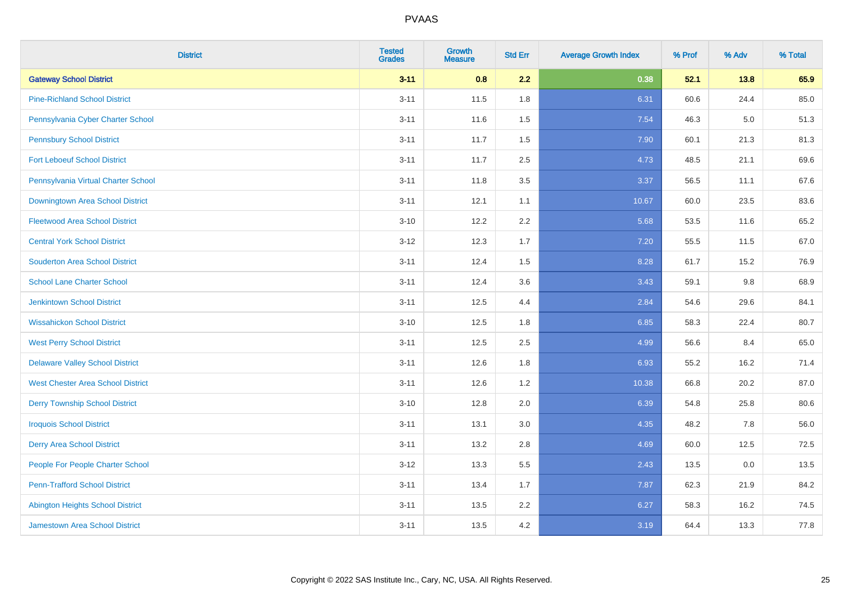| <b>District</b>                          | <b>Tested</b><br><b>Grades</b> | <b>Growth</b><br><b>Measure</b> | <b>Std Err</b> | <b>Average Growth Index</b> | % Prof | % Adv | % Total |
|------------------------------------------|--------------------------------|---------------------------------|----------------|-----------------------------|--------|-------|---------|
| <b>Gateway School District</b>           | $3 - 11$                       | 0.8                             | 2.2            | 0.38                        | 52.1   | 13.8  | 65.9    |
| <b>Pine-Richland School District</b>     | $3 - 11$                       | 11.5                            | 1.8            | 6.31                        | 60.6   | 24.4  | 85.0    |
| Pennsylvania Cyber Charter School        | $3 - 11$                       | 11.6                            | 1.5            | 7.54                        | 46.3   | 5.0   | 51.3    |
| <b>Pennsbury School District</b>         | $3 - 11$                       | 11.7                            | 1.5            | 7.90                        | 60.1   | 21.3  | 81.3    |
| <b>Fort Leboeuf School District</b>      | $3 - 11$                       | 11.7                            | 2.5            | 4.73                        | 48.5   | 21.1  | 69.6    |
| Pennsylvania Virtual Charter School      | $3 - 11$                       | 11.8                            | 3.5            | 3.37                        | 56.5   | 11.1  | 67.6    |
| <b>Downingtown Area School District</b>  | $3 - 11$                       | 12.1                            | 1.1            | 10.67                       | 60.0   | 23.5  | 83.6    |
| <b>Fleetwood Area School District</b>    | $3 - 10$                       | 12.2                            | 2.2            | 5.68                        | 53.5   | 11.6  | 65.2    |
| <b>Central York School District</b>      | $3 - 12$                       | 12.3                            | 1.7            | 7.20                        | 55.5   | 11.5  | 67.0    |
| <b>Souderton Area School District</b>    | $3 - 11$                       | 12.4                            | 1.5            | 8.28                        | 61.7   | 15.2  | 76.9    |
| <b>School Lane Charter School</b>        | $3 - 11$                       | 12.4                            | 3.6            | 3.43                        | 59.1   | 9.8   | 68.9    |
| <b>Jenkintown School District</b>        | $3 - 11$                       | 12.5                            | 4.4            | 2.84                        | 54.6   | 29.6  | 84.1    |
| <b>Wissahickon School District</b>       | $3 - 10$                       | 12.5                            | 1.8            | 6.85                        | 58.3   | 22.4  | 80.7    |
| <b>West Perry School District</b>        | $3 - 11$                       | 12.5                            | 2.5            | 4.99                        | 56.6   | 8.4   | 65.0    |
| <b>Delaware Valley School District</b>   | $3 - 11$                       | 12.6                            | 1.8            | 6.93                        | 55.2   | 16.2  | 71.4    |
| <b>West Chester Area School District</b> | $3 - 11$                       | 12.6                            | 1.2            | 10.38                       | 66.8   | 20.2  | 87.0    |
| <b>Derry Township School District</b>    | $3 - 10$                       | 12.8                            | 2.0            | 6.39                        | 54.8   | 25.8  | 80.6    |
| <b>Iroquois School District</b>          | $3 - 11$                       | 13.1                            | 3.0            | 4.35                        | 48.2   | 7.8   | 56.0    |
| <b>Derry Area School District</b>        | $3 - 11$                       | 13.2                            | 2.8            | 4.69                        | 60.0   | 12.5  | 72.5    |
| People For People Charter School         | $3 - 12$                       | 13.3                            | 5.5            | 2.43                        | 13.5   | 0.0   | 13.5    |
| <b>Penn-Trafford School District</b>     | $3 - 11$                       | 13.4                            | 1.7            | 7.87                        | 62.3   | 21.9  | 84.2    |
| <b>Abington Heights School District</b>  | $3 - 11$                       | 13.5                            | 2.2            | 6.27                        | 58.3   | 16.2  | 74.5    |
| <b>Jamestown Area School District</b>    | $3 - 11$                       | 13.5                            | 4.2            | 3.19                        | 64.4   | 13.3  | 77.8    |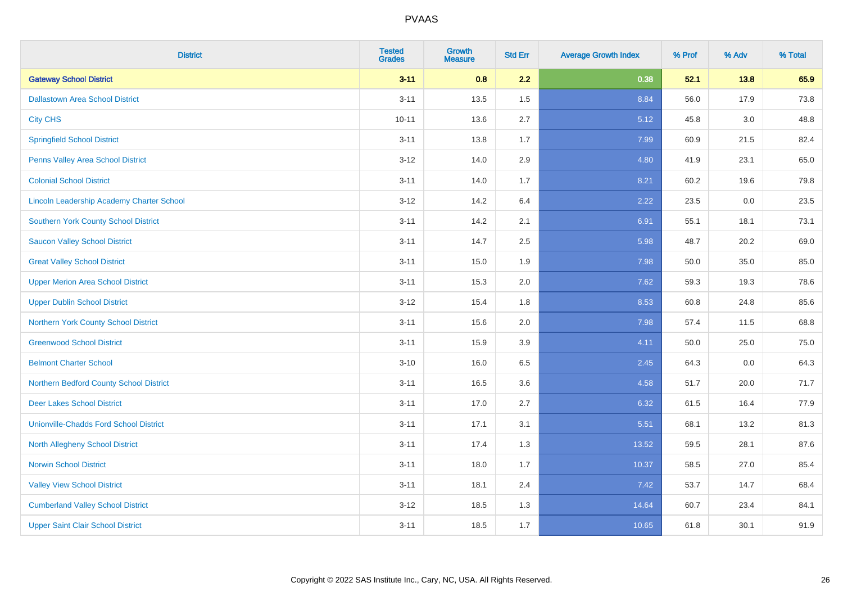| <b>District</b>                               | <b>Tested</b><br><b>Grades</b> | <b>Growth</b><br><b>Measure</b> | <b>Std Err</b> | <b>Average Growth Index</b> | % Prof | % Adv   | % Total |
|-----------------------------------------------|--------------------------------|---------------------------------|----------------|-----------------------------|--------|---------|---------|
| <b>Gateway School District</b>                | $3 - 11$                       | 0.8                             | 2.2            | 0.38                        | 52.1   | 13.8    | 65.9    |
| <b>Dallastown Area School District</b>        | $3 - 11$                       | 13.5                            | 1.5            | 8.84                        | 56.0   | 17.9    | 73.8    |
| <b>City CHS</b>                               | $10 - 11$                      | 13.6                            | 2.7            | 5.12                        | 45.8   | $3.0\,$ | 48.8    |
| <b>Springfield School District</b>            | $3 - 11$                       | 13.8                            | 1.7            | 7.99                        | 60.9   | 21.5    | 82.4    |
| Penns Valley Area School District             | $3 - 12$                       | 14.0                            | 2.9            | 4.80                        | 41.9   | 23.1    | 65.0    |
| <b>Colonial School District</b>               | $3 - 11$                       | 14.0                            | 1.7            | 8.21                        | 60.2   | 19.6    | 79.8    |
| Lincoln Leadership Academy Charter School     | $3 - 12$                       | 14.2                            | 6.4            | 2.22                        | 23.5   | 0.0     | 23.5    |
| <b>Southern York County School District</b>   | $3 - 11$                       | 14.2                            | 2.1            | 6.91                        | 55.1   | 18.1    | 73.1    |
| <b>Saucon Valley School District</b>          | $3 - 11$                       | 14.7                            | 2.5            | 5.98                        | 48.7   | 20.2    | 69.0    |
| <b>Great Valley School District</b>           | $3 - 11$                       | 15.0                            | 1.9            | 7.98                        | 50.0   | 35.0    | 85.0    |
| <b>Upper Merion Area School District</b>      | $3 - 11$                       | 15.3                            | 2.0            | 7.62                        | 59.3   | 19.3    | 78.6    |
| <b>Upper Dublin School District</b>           | $3-12$                         | 15.4                            | 1.8            | 8.53                        | 60.8   | 24.8    | 85.6    |
| <b>Northern York County School District</b>   | $3 - 11$                       | 15.6                            | 2.0            | 7.98                        | 57.4   | 11.5    | 68.8    |
| <b>Greenwood School District</b>              | $3 - 11$                       | 15.9                            | 3.9            | 4.11                        | 50.0   | 25.0    | 75.0    |
| <b>Belmont Charter School</b>                 | $3 - 10$                       | 16.0                            | 6.5            | 2.45                        | 64.3   | 0.0     | 64.3    |
| Northern Bedford County School District       | $3 - 11$                       | 16.5                            | 3.6            | 4.58                        | 51.7   | 20.0    | 71.7    |
| <b>Deer Lakes School District</b>             | $3 - 11$                       | 17.0                            | 2.7            | 6.32                        | 61.5   | 16.4    | 77.9    |
| <b>Unionville-Chadds Ford School District</b> | $3 - 11$                       | 17.1                            | 3.1            | 5.51                        | 68.1   | 13.2    | 81.3    |
| <b>North Allegheny School District</b>        | $3 - 11$                       | 17.4                            | 1.3            | 13.52                       | 59.5   | 28.1    | 87.6    |
| <b>Norwin School District</b>                 | $3 - 11$                       | 18.0                            | 1.7            | 10.37                       | 58.5   | 27.0    | 85.4    |
| <b>Valley View School District</b>            | $3 - 11$                       | 18.1                            | 2.4            | 7.42                        | 53.7   | 14.7    | 68.4    |
| <b>Cumberland Valley School District</b>      | $3 - 12$                       | 18.5                            | 1.3            | 14.64                       | 60.7   | 23.4    | 84.1    |
| <b>Upper Saint Clair School District</b>      | $3 - 11$                       | 18.5                            | 1.7            | 10.65                       | 61.8   | 30.1    | 91.9    |